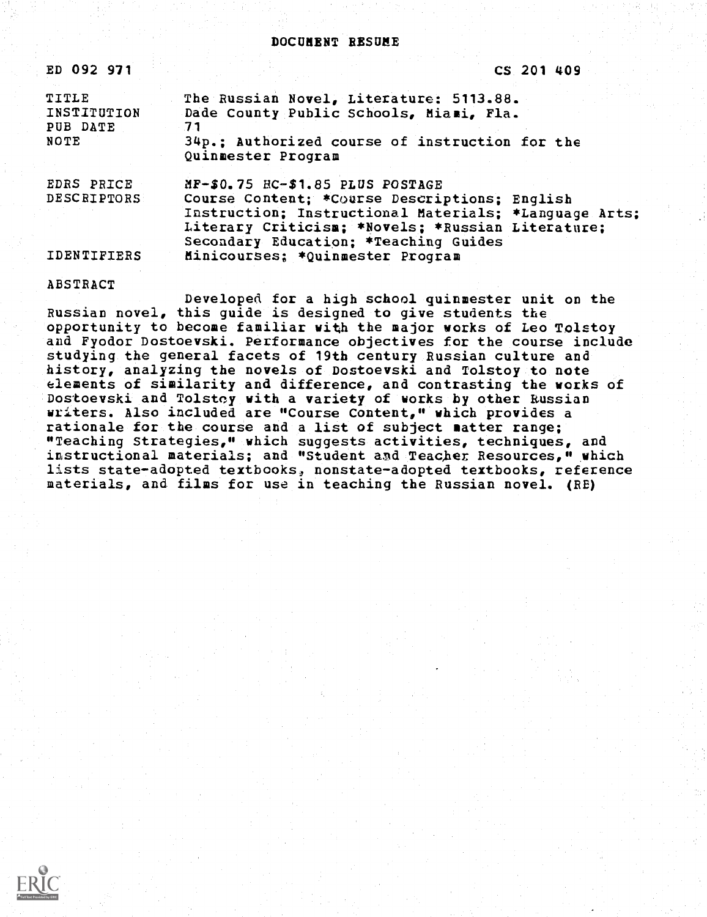| ED 092 971                       |                                                                                                                                                                                                      |  | CS 201 409 |  |  |  |
|----------------------------------|------------------------------------------------------------------------------------------------------------------------------------------------------------------------------------------------------|--|------------|--|--|--|
| TITLE<br>INSTITUTION<br>PUB DATE | The Russian Novel, Literature: 5113.88.<br>Dade County Public Schools, Miami, Fla.<br>71                                                                                                             |  |            |  |  |  |
| <b>NOTE</b>                      | 34p.: Authorized course of instruction for the<br>Quinmester Program                                                                                                                                 |  |            |  |  |  |
| EDRS PRICE<br>DESCRIPTORS        | $MF-50.75$ $BC-51.85$ PLUS POSTAGE                                                                                                                                                                   |  |            |  |  |  |
|                                  | Course Content; *Course Descriptions; English<br>Instruction; Instructional Materials; *Language Arts;<br>Literary Criticism; *Novels; *Russian Literature;<br>Secondary Education: *Teaching Guides |  |            |  |  |  |
| <b>IDENTIFIERS</b>               | Minicourses: *Quinmester Program                                                                                                                                                                     |  |            |  |  |  |

ABSTRACT Developed for a high school quinmester unit on the Russian novel, this guide is designed to give students the opportunity to become familiar with the major works of Leo Tolstoy and Fyodor Dostoevski. Performance objectives for the course include studying the general facets of 19th century Russian culture and history, analyzing the novels of Dostoevski and Tolstoy to note elements of similarity and difference, and contrasting the works of Dostoevski and Tolstoy with a variety of works by other Russian writers. Also included are "Course Content," which provides a rationale for the course and a list of subject matter range; "Teaching Strategies," which suggests activities, techniques, and instructional materials; and "Student and Teacher Resources," which lists state-adopted textbooks, nonstate-adopted textbooks, reference materials, and films for use in teaching the Russian novel. (RE)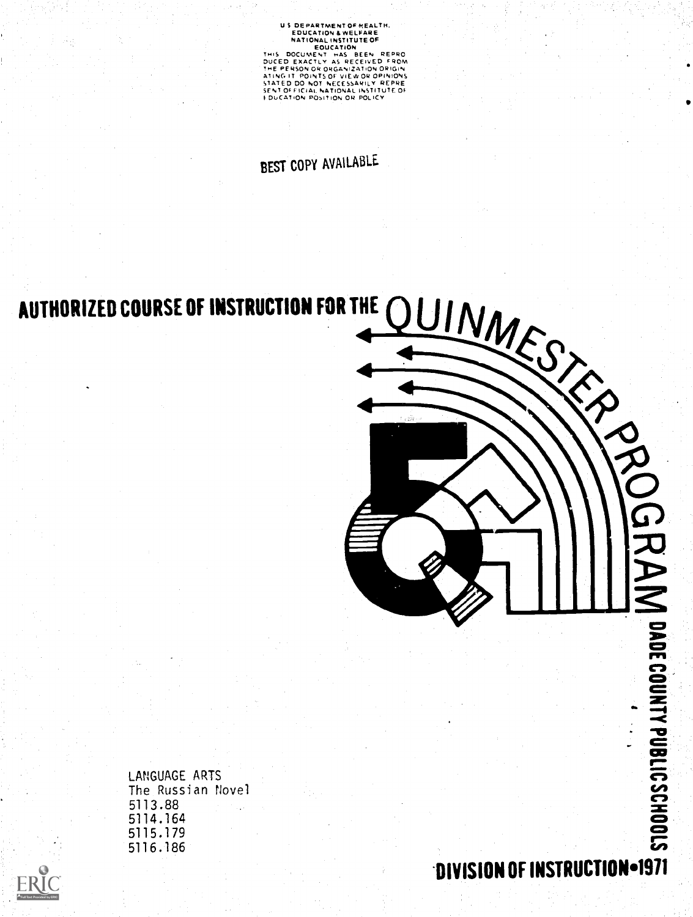US DEPARTMENT OF HEALTH.<br>
EDUCATION & WELFARE<br>
NATIONAL INSTITUTE OF<br>
EDUCATION & NET THIS<br>
THIS DOCUMENT THIS BEEN REPRO<br>
DUCED EXACTLY AS RECEIVED FROM<br>
ATING IT POINTS OF VIEW OR OPINIONS<br>
STATED DO NOT NECESSARILY REPR

# BEST COPY AVAILABLE



LANGUAGE ARTS The Russian Novel 5113.88 5114.164 5115.179 5116.186

DIVISION OF INSTRUCTION - 1971

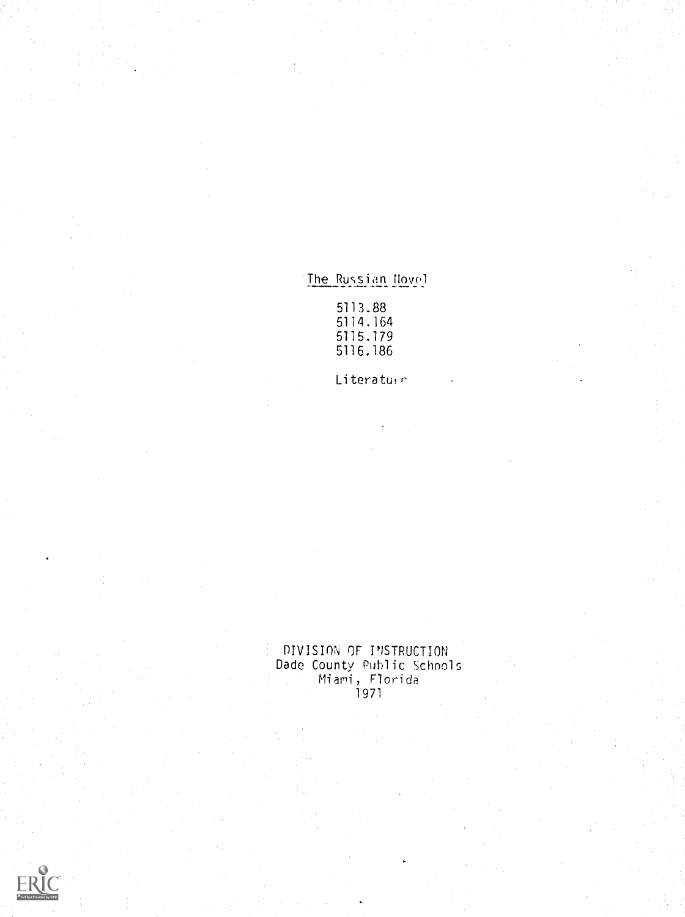# The Russian Novel

5113.88 5114.164 5115.179 5116.186

Literaturn

DIVISION OF INSTRUCTION Dade County Public Schools miari, Florida 1971

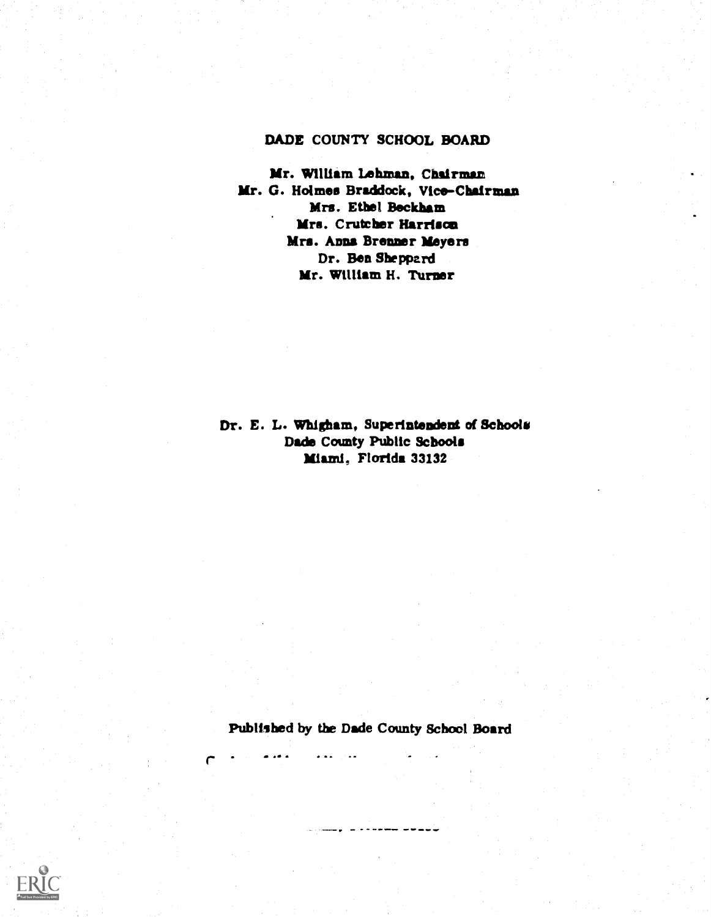## DADE COUNTY SCHOOL BOARD

Mr. William Lehman, Chairman Mr. G. Holmes Braddock, Vice-Chairman Mrs. Ethel Beckham Mrs. Crutcher Harrison Mrs. Anna Brenner Meyers Dr. Ben Sheppard Mr. William H. Turner

Dr. E. L. Whigham, Superintendent of Schools Dade County Public Schools Miami, Florida 33132

Published by the Dade County School Board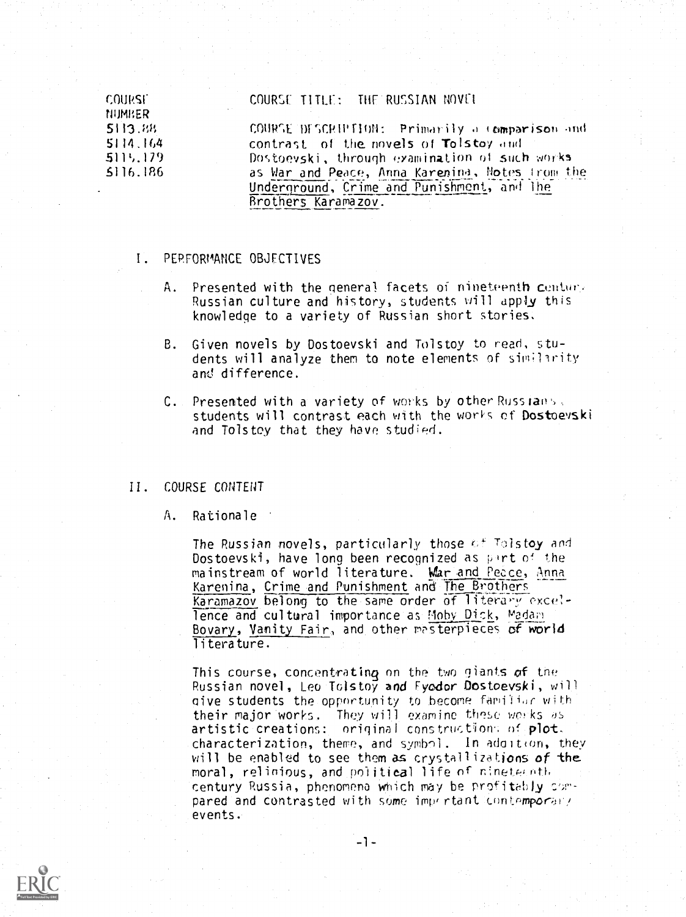**COURSE** NUMER 5113.88 5114.164 511',.119 S116.186

#### COURSE TITLE: THE RUSSIAN NOVEL

COURSE DISCRIPTION: Primarily a comparison and contrast of the novels of Tolstoy and Dostoevski, through examination of such works as War and Peace, Anna Karenina, Motes from the Underground, Crime and Punishment, and the Brothers Karamazov.

#### I. PERFORMANCE OBJECTIVES

- A. Presented with the general facets of nineteenth centure Russian culture and history, students will apply this knowledge to a variety of Russian short stories.
- B. Given novels by Dostoevski and Tolstoy to read, students will analyze them to note elements of similarity anti difference.
- C. Presented with a variety of works by other Russians, students will contrast each with the works ef Dostoevski and Tolstoy that they have studied.

### II COURSE CONTENT

#### A. Rationale

The Russian novels, particularly those of Tolstoy and Dostoevski, have long been recognized as part of the mainstream of world literature. War and Peace, Anna Karenina, Crime and Punishment and The Brothers Karamazov belong to the same order of literary excellence and cultural importance as Moby Dick, Madam Bovary, Vanity Fair, and other mesterpieces of world literature.

This course, concentrating on the two giants of the  $\hspace{0.1cm}$   $\hspace{0.1cm}$ Russian novel, Leo Tolstoy and Fyodor Dostoevski, will give students the opportunity to become familiar with their major works. They will examine these works as artistic creations: original constructions of plot. characterization, theme, and symbol. In adoltion, they will be enabled to see them as crystallizations of the moral, relinious, and political life of ninete,oth century Russia, phenomena which may be profitably compared and contrasted with some important contemporary events.



 $-1-$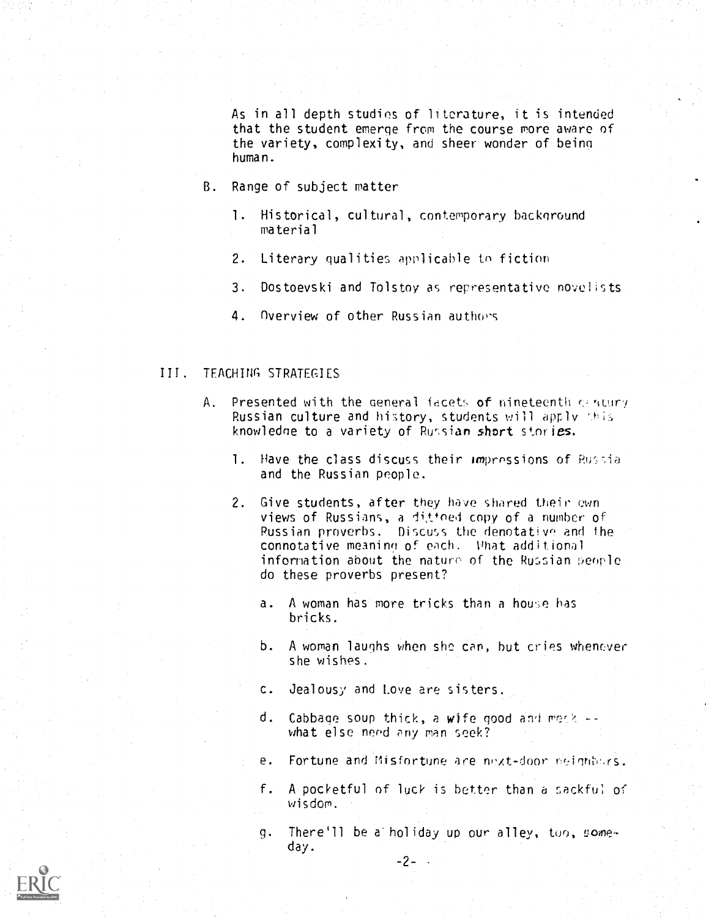As in all depth studies of literature, it is intended that the student emerge from the course more aware of the variety, complexity, and sheer wonder of being human.

- B. Range of subject matter
	- 1. Historical, cultural, contemporary background material
	- 2. Literary qualities applicable to fiction
	- 3. Dostoevski and Tolstoy as representative novelists
	- 4. Overview of other Russian authors

### III. TEACHING STRATEGIES

- A. Presented with the general facets of nineteenth  $q$  ntury Russian culture and history, students will apply this knowledge to a variety of Russian short stories.
	- 1. Have the class discuss their impressions of Russia and the Russian people.
	- 2. Give students, after they have shared their own views of Russians, a dittoed copy of a number of Russian proverbs. Discuss the denotative and the connotative meaning of each. What additional information about the nature of the Russian people do these proverbs present?
		- a. A woman has more tricks than a house has bricks.
		- b. A woman laughs when she can, but cries whenever she wishes.
		- c. Jealousy and Love are sisters.
		- d. Cabbage soup thick, a wife good and merk  $\vdash$ what else need any man seek?
		- e. Fortune and Misfortune are next-door reignbors.
		- f. A pocketful of luck is better than a sackful of wisdom.
		- g. There'll be a holiday up our alley, too, someday.

 $-2-$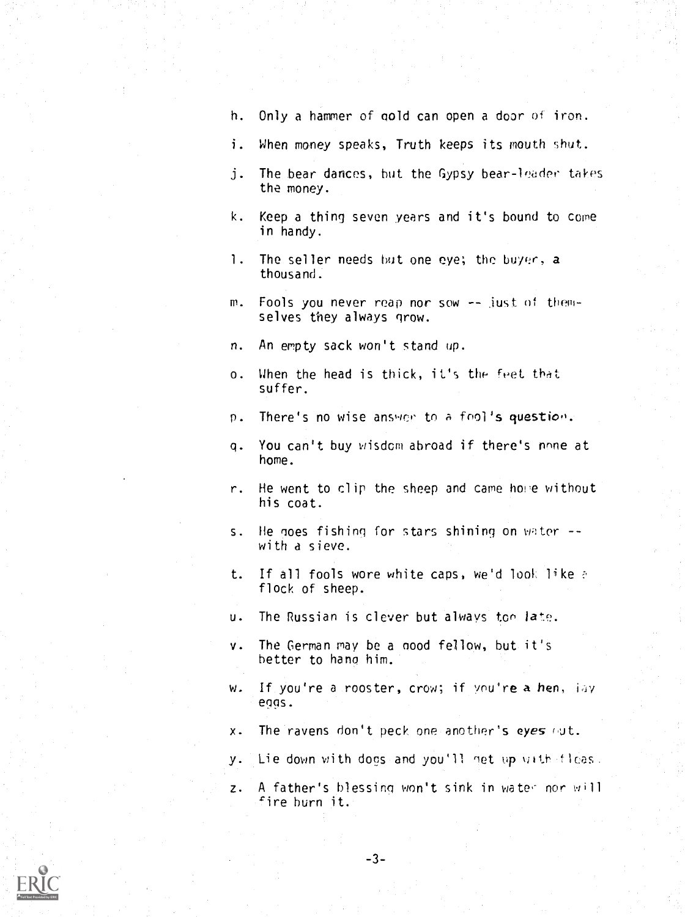- h. Only a hammer of gold can open a door of iron.
- i. When money speaks, Truth keeps its mouth shut.
- j. The bear dances, but the Gypsy bear-leader takes the money.
- k. Keep a thing seven years and it's bound to come in handy.
- 1. The seller needs but one eye; the buyer, a thousand.
- m. Fools you never reap nor sow -- just of themselves they always grow.
- n. An empty sack won't stand up.
- o. When the head is thick, it's the feet that suffer.
- p. There's no wise answer to a fool's question.
- q. You can't buy wisdom abroad if there's none at home.
- r. He went to clip the sheep and came home without his coat.
- s. He goes fishing for stars shining on water -with a sieve.
- t. If all fools wore white caps, we'd look like flock of sheep.
- u. The Russian is clever but always too late.
- v. The German may be a nood fellow, but it's better to hang him.
- w. If you're a rooster, crow; if you're a hen, lay eggs.
- $x.$  The ravens don't peck one another's eyes  $\omega t$ .
- y. Lie down with dogs and you'll net up with fleas.
- z. A father's blessing won't sink in water nor will fire burn it.

-3-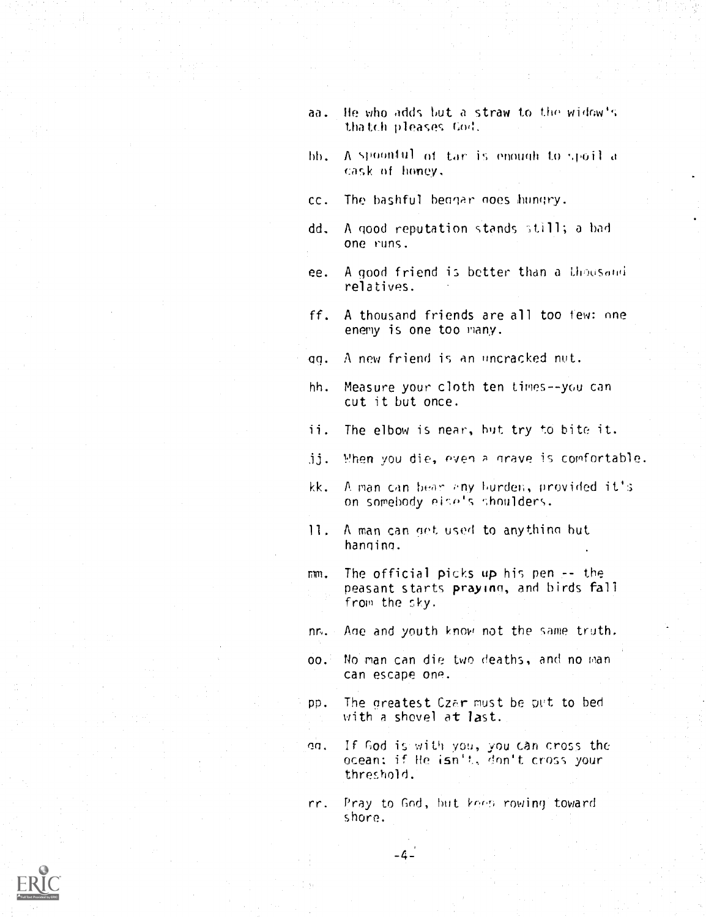- aa. He who adds but a straw to the widow's thatch pleases Cod.
- $bb.$  A spoonful of  $tar$  is enough to spoil  $d$ cask of honey,
- cc. The bashful beggar noes hungry.
- dd. A good reputation stands still; a had one runs.
- ee. A good friend is better than a thousand relatives
- ff. A thousand friends are all too few: nne enemy is one too many.
- an. A new friend is an uncrocked nut.
- hh. Measure your cloth ten times--you can cut it but once.
- ii. The elbow is near, but try to bite it.
- $jj.$  When you die, even a grave is comfortable.
- kk. A man can bear any hurden, provided it's on somebody eise's shoulders.
- 11. A man can get used to anything but hanninn.
- mm. The official picks up his pen -- the peasant starts prayinn, and birds fall from the sky.
- Ane and youth know not the same truth.  $n_{\rm E}$ .
- 00. No man can die two deaths, and no man can escape one.
- pp. The greatest Czar must be put to bed and the greatest  $\sim$ with a shovel at last.
- en. If God is with you, you tan cross the ocean: if He isn't, don't cross your threshold.
- Pray to God, but keep rowing toward shore. rr.

 $-4-$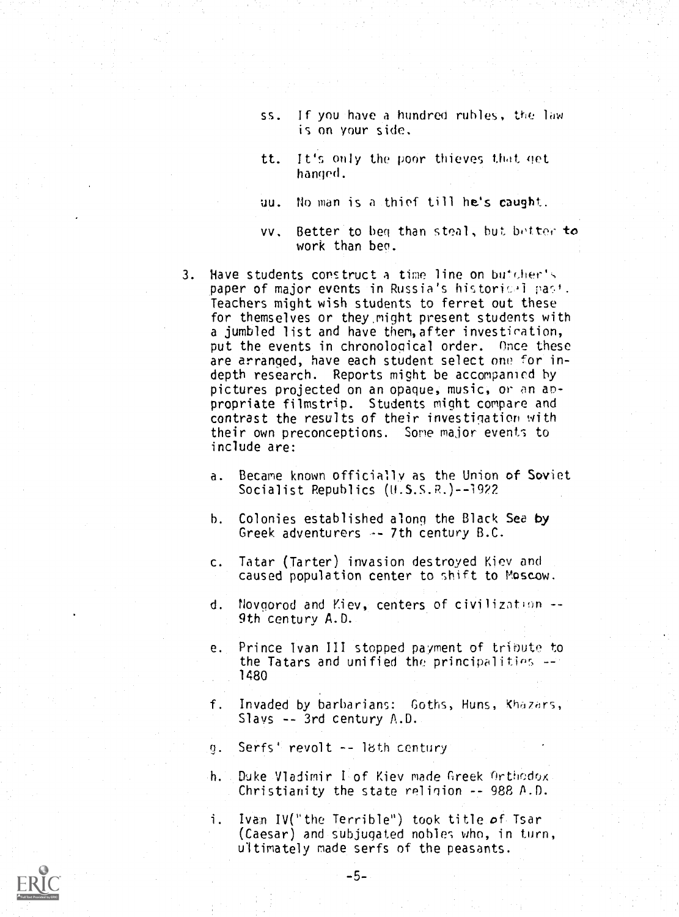- ss. If you have a hundred rubles, the law is on your side.
- tt. It's only the poor thieves that get hanged.
- uu. lb man is a thief till he's caught.
- vv. Better to beg than steal, but better to work than beg.
- $3.$  Have students construct a time line on butcher's paper of major events in Russia's historical past. Teachers might wish students to ferret out these for themselves or they.might present students with a jumbled list and have then,after investieation, put the events in chronological order. Once these are arranged, have each student select one for indepth research. Reports might be accompanied by pictures projected on an opaque, music, or an anpropriate filmstrip. Students might compare and contrast the results of their investigation with their own preconceptions. Some major events to include are:
	- a. Became known officially as the Union of Soviet Socialist Republics (U.S.S.R.)--1922
	- h. Colonies established along the Black Sea by Greek adventurers  $\rightarrow$  7th century B.C.
	- c. Tatar (Tarter) invasion destroyed Kiev and caused population center to shift to Moscow.
	- d. Novgorod and Kiev, centers of civilizatinn -- 9th century A.D.
	- e. Prince Ivan III stopped payment of tribute to the Tatars and unified the principalities 1480
	- f. Invaded by barbarians: Goths, Huns, Khazars, Slays -- 3rd century A.D.
	- 9. Serfs' revolt -- lbth century
	- h. Duke Vladimir Lot. Kiev made Greek Orthodox Christianity the state religion -- 988 A.D.
	- i. Ivan IV("the Terrible") took title of Tsar (Caesar) and subjugated nobles who, in turn, ultimately made serfs of the peasants.

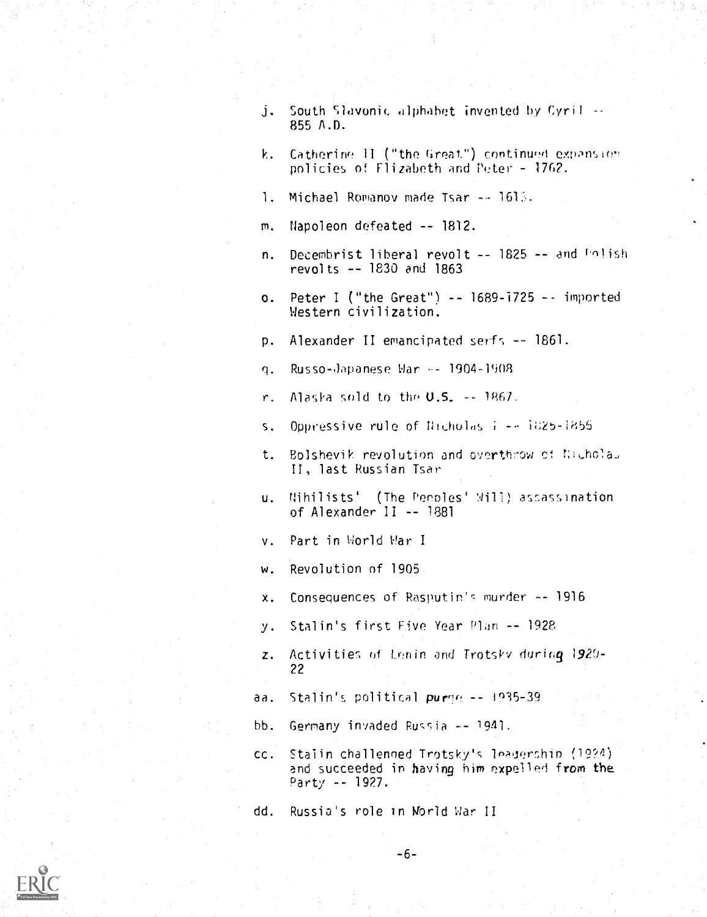- j. South Slavonic alphabet invented by Cyril --855 A.D.
- k. Catherine  $\Pi$  ("the Great") continued expansion policies of Elizabeth and Peter - 1762.
- 1. Michael Romanov made Tsar -- 1613.
- m. Napoleon defeated -- 1812.
- n. Decembrist liberal revolt -- 1825 -- and Polish revolts -- 1830 and 1863
- o. Peter I ("the Great")  $-$  1689-1725  $-$  imported Western civilization.

p. Alexander II emancipated serf; -- 1861.

q. Russo-Japanese War -- 1904-1908

r. Alaska sold to the  $0.5. -1867$ .

- s. Oppressive rule of Nicholas i -- 1825-1855
- t. Bolshevik revolution and overthrow ci II, last Russian Tsar
- u. Nihilists' (The Pennies' Will) asassination of Alexander II -- 1881
- v. Part in World War I
- w. Revolution of 1905.
- x. Consequences of Rasputin's murder -- 1916
- y. Stalin's first Five Year Plan -- 1928
- $z$ . Activities of Lenin and Trotsky during  $1920-$ 22
- aa. Stalin's political puree  $-1935-39$
- bb. Germany invaded Russia -- 1941.
- CC. Stalin challenned Trotsky's leadership (19?4) and succeeded in having him expelled from the Party -- 1927.

dd. Russia's role in World War II

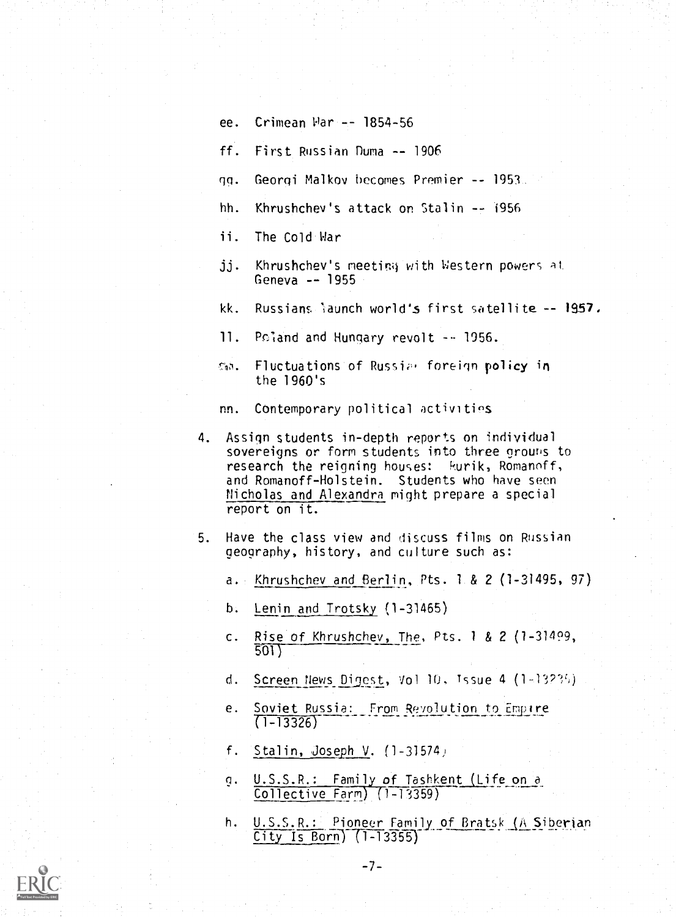- ee. Crimean War -- 1854-56
- ff. First Russian Duma -- 1906
- Georgi Malkov becomes Premier -- 1953. qq.
- hh. Khrushchev's attack on Stalin -- 1956
- ii. The Cold War
- jj. Khrushchev's meeting with Western powers at Geneva -- 1955
- kk. Russians 'iaunch world's first satellite -- 1957,
- 11. Poland and Hungary revolt -- 1956.
- th. Fluctuations of Russian foreign policy in the 1960's
- nn. Contemporary political activities
- 4. Assign students in-depth reports on individual sovereigns or form students into three grouris to research the reigning houses: kurik, Romanoff, and Romanoff-Holstein. Students who have seen Nicholas and Alexandra might prepare a special report on it.
- 5. Have the class view and discuss films on Russian geography, history, and culture such as:
	- a. Khrushchev and Berlin, Pts. 1.& 2 (1-31495, 97)
	- b. Lenin and Trotsky (1-31465)
	- c. Rise of Khrushchev, The, Pts. <sup>1</sup> & 2 (1-31499, 501)
	- d. Screen News Digest, Vol 10, Issue 4 (1-13?3)
	- e. Soviet Russia: From Revolution to Empire  $(1 - 13326)$
	- f. Stalin, Joseph V.  $(1-31574)$
	- g. U.S.S.R.: Family of Tashkent (Life on a Collective Farm) (1-13359)

-7-

h. U.S.S.R.: Pioneer Family of Bratsk (A Siberian  $City$  Is Born)  $(1-13355)$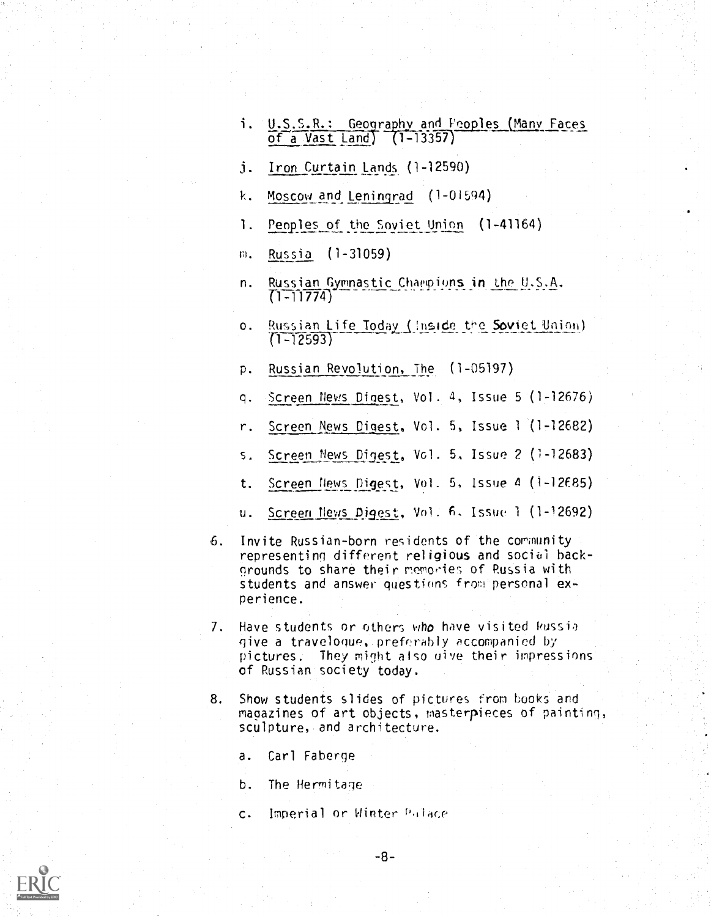- U.S.S.R.: Geography and Peoples Many Faces of a Vast Land) (1-1330)
- $j.$  Iron Curtain Lands  $(1-12590)$
- k. Moscow and Leningrad (1-01594)
- 1. Peoples of the Soviet Union (1-41164)
- m. Russia (1-31059)
- n. Russian Gymnastic Champions in the U.S.A.  $T1-11774$
- o. Russian Life Today (Inside the Soviet Union)  $(1 - 12593)$
- p. Russian Revolution, The (1-05197)
- q. Screen News finest, Vol. 4, Issue 5 (1- 12676)
- r. Screen News Digest, Vol. 5, Issue 1 (1- 12682)
- s. Screen News Digest, Vol. 5, Issue 2 (1-12683)
- t. Screen News Digest, Vol. 5, Issue 4 (1-12E85)
- u. Screen News Aigest, Vol. 6, Issue 1 (1-12692)
- 6. Invite Russian-born residents of the community representing different religious and social backgrounds to share their memories of Russia with students and answer questions from personal experience.
- 7. Have students or others who have visited Russia give a travelogue, preferably accompanied by pictures. They might also dive their impressions of Russian society today.
- 8. Show students slides of pictures from books and magazines of art objects, masterpieces of painting, sculpture, and architecture.
	- a. Carl Faberge
	- b. The Hermitage
	- c. Imperial or Winter Palace

-8-

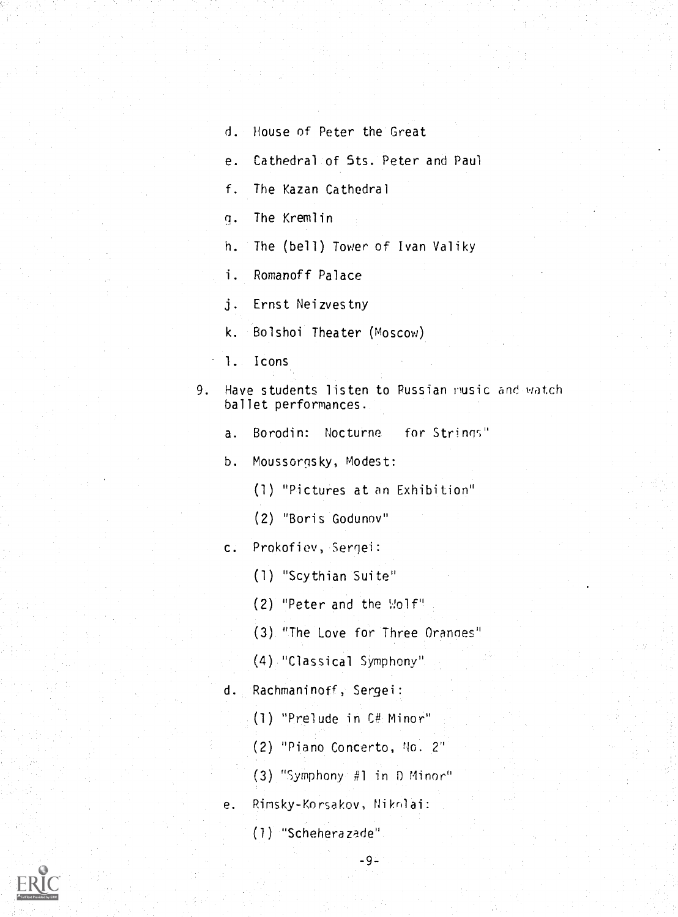d. House of Peter the Great

e. Cathedral of 5ts. Peter and Paul

f. The Kazan Cathedral

. The Kremlin

h. The (bell) Tower of Ivan Valiky

i. Romanoff Palace

j. Ernst Neizvestny

k. Bolshoi Theater (Moscow)

1. Icons

9. Have students listen to Russian rusic and watch ballet performances.

a. Borodin: Nocturne for Strings"

b. Moussorgsky, Modest:

(1) "Pictures at an Exhibition"

(2) "Boris Godunov"

c. Prokofiev,

(1) "Scythian Suite"

(2) "Peter and the Wolf"

(3) "The Love for Three Oranoes"

(4) "Classical Symphony"

 $d_{\infty}$ Rachmaninoff, Sergei:

(1) "Prelude in C# Minor"

(2) "Piano Concerto, No. 2"

(3) "Symphony #1 in 0 Minor"

e. Rimsky-Korsakov, Niknlai:

(1) "Scheherazade"

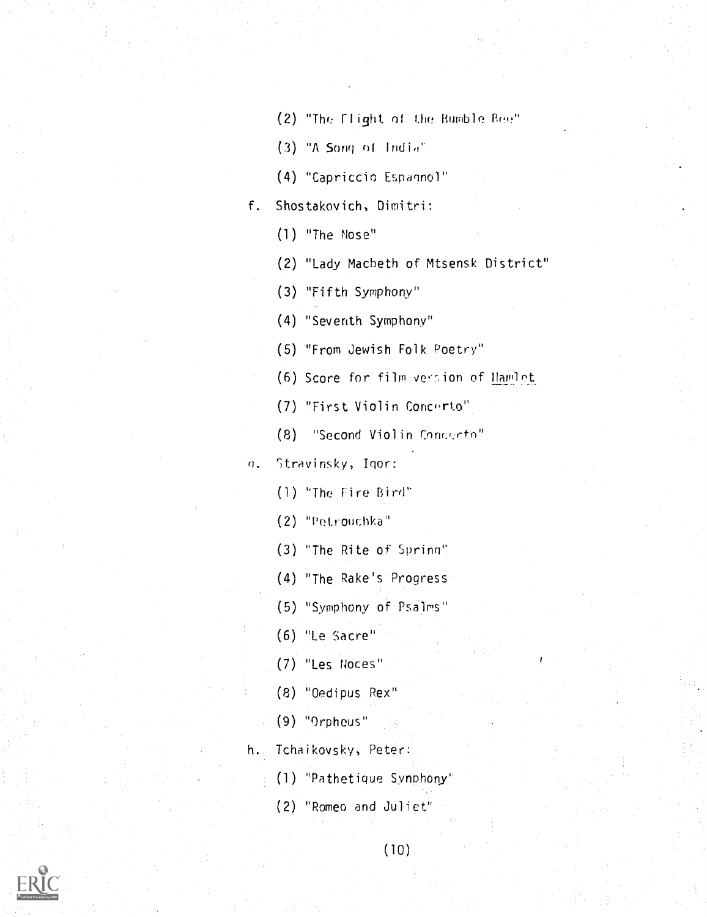(2) "The Flight of the Bumble Boo"

(3) "A Song of Indio'

(4) "Capriccio Espannol"

f. Shostakovich, Dimitri:

(1) "The Nose"

(2) "Lady Macbeth of Mtsensk District"

(3) "Fifth Symphony"

(4) "Seventh Symphony"

(5) "From Jewish Folk Poetry"

(6) Score for film version of Hamlet

(7) "First Violin Concrto"

(8) "Second Violin Concerto"

n. Stravinsky, Igor:

(1) "The Fire Bird"

(2) "Petrouchke

(3) "The Rite of Sprinn"

(4) "The Rake's. Progress

(5) "Symphony of Psalms"

(6) "Le Sacre"

(7) "Les Noces"

(8) "Oedipus Rex"

(9) "Orpheus"

h. Tchaikovsky, Peter:

(1) "Pathetique SYnphony'

(2) "Romeo and Juliet"

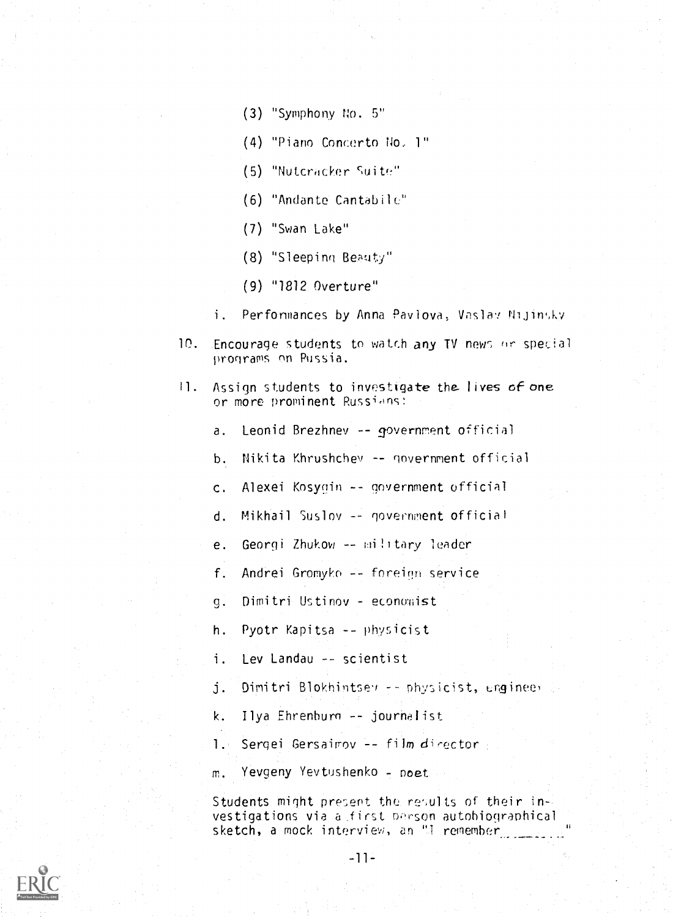- (3) "Symphony No. 5"
- (4) "Piano Concerto No, 1"
- (5) "Nutcracker Suite"
- (6) "Andante Cantabile"
- (7) "Swan Lake"
- (8) "Sleeping Beuty"
- (9) "1812 Overture"
- Perfonmances by Anna Pavlova, Vaslav Nijinsky  $\mathbf{i}$ .
- 10. Encourage students to watch any TV news or special programs on Pussia.
- 11. Assign students to investigate the lives of one or more prominent Russians:
	- a. Leonid Brezhnev -- government official
	- b. Nikita Khrushchev -- government official
	- c. Alexei Kosygin -- government official
	- d. Mikhail Suslov -- government official
	- e. Georgi Zhukow -- military leader
	- f. Andrei Gromyko -- foreign service
	- g. Dimitri Ustinov economist
	- h. Pyotr Kapitsa -- physicist
	- i. Lev Landau -- scientist
	- j. Dimitri Blokhintsey -- physicist, ungineer
	- k. Ilya Ehrenhurn -- journalist
	- 1. Sergei Gersairov -- film director
	- m. Yevgeny Yevtushenke poet

Students might present the results of their in-. vestigations via a first person autobiographical sketch, a mock interview, an "I remember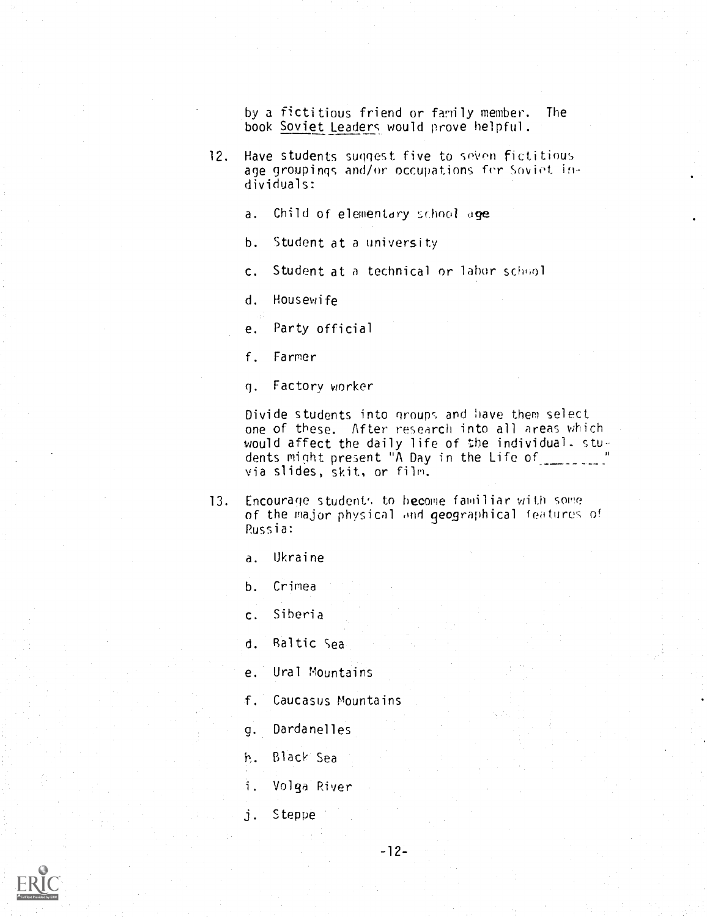by a fictitious friend or family member. The book Soviet Leaders would prove helpful.

- 12. Have students suggest five to seven fictitious age groupings and/or occupations frr Soviet, individuals:
	- a. Child of elementary school age
	- b. Student at a university
	- c. Student at a technical or labor school

d. Housewife

e. Party official

- f. Farmer
- q. Factory worker

Divide students into groups and have them select one of these. After research into all areas which would affect the daily life of the individual. students might present "A Day in the Life of via slides, skit, or film.

- 13. Encourage student', to become familiar with some of the major physical ond geographical features of Russia:
	- a. Ukraine

b. Crimea

c. Siberia

- d. Raltic Sea
- e. Ural Mountains
- f. Caucasus Mountains
- Dardanelles q.
- Black Sea
- 1. Volga River
- j. Steppe

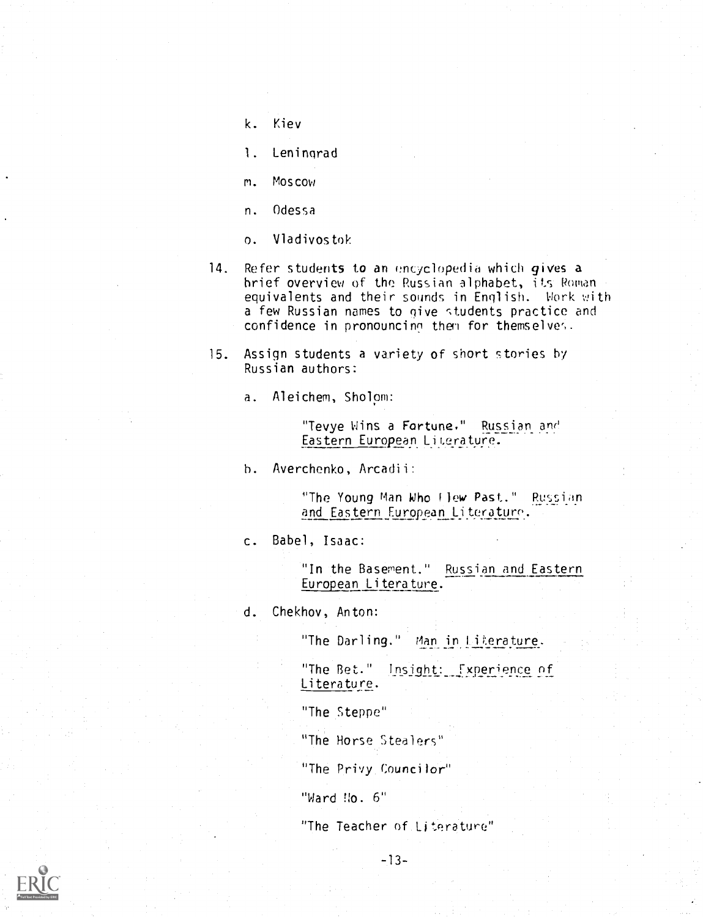- k. Kiev
- 1. Leningrad
- m. Moscow
- n. Odessa
- o. Vladivostok
- 14. Refer students to an encyclopedia which gives a brief overview of the Russian alphabet, its Roman equivalents and their sounds in English. Work with a few Russian names to give students practice and confidence in pronouncinn then for themselves.
- 15. Assign students a variety of short stories by Russian authors:

a. Aleichem, Sholom:

"Tevye Wins a Fortune." Russian and Eastern European LiLerature.

h. Averchenko, Arcadii:

"The Young Man Who flew Past." Russian and Eastern European Literature.

c. Babel, Isaac:

"In the Basement." Russian and Eastern European Literature.

d. Chekhov, Anton:

"The Darling." Man in Literature.

"The Bet." Insight: Experience of Literature.

"The Steppe"

"The Horse Stealers"

"The Privy Councilor"

"Ward No. 6"

"The Teacher of Literature"

-13-

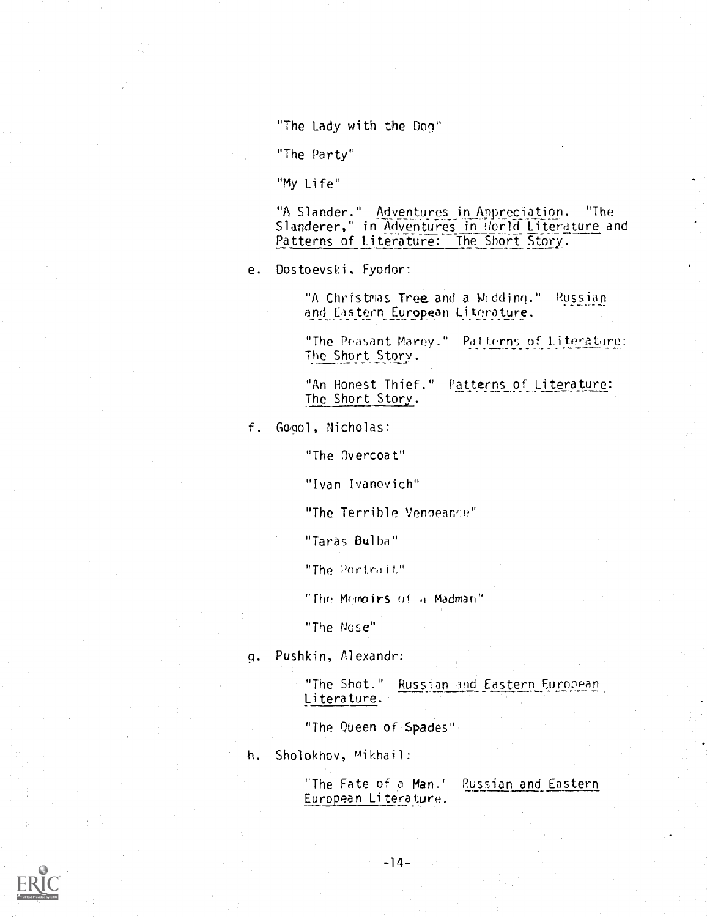"The Lady with the Dog"

"The Party"

"My Life"

"A Slander." Adventures in Appreciation. "The Slanderer," in Adventures in Norld Literature and Patterns of Literature: The Short Story.

e. Dostoevski, Fyodor:

"A Christmas Tree and a Wedding." Russian and Eastern European Literature.

"The Peasant Marey." Pallerns of Literature:<br>... The Short Story.

"An Honest Thief." Patterns of Literature: The Short Story.

f. GDool, Nicholas:

"The Overcoat"

"Ivan lvanovich"

"The Terrible Vengeance"

"Taras Bulba"

"The Portrait"

"The Memoirs of d Madman"

"The Nose"

. Pushkin, Alexandr:

"The Shot." Russian and Eastern European Literature.

"The Queen of.Spades"

h. Sholokhov, mikhail:

"The Fate of a Man.' Russian and Eastern European Literature.

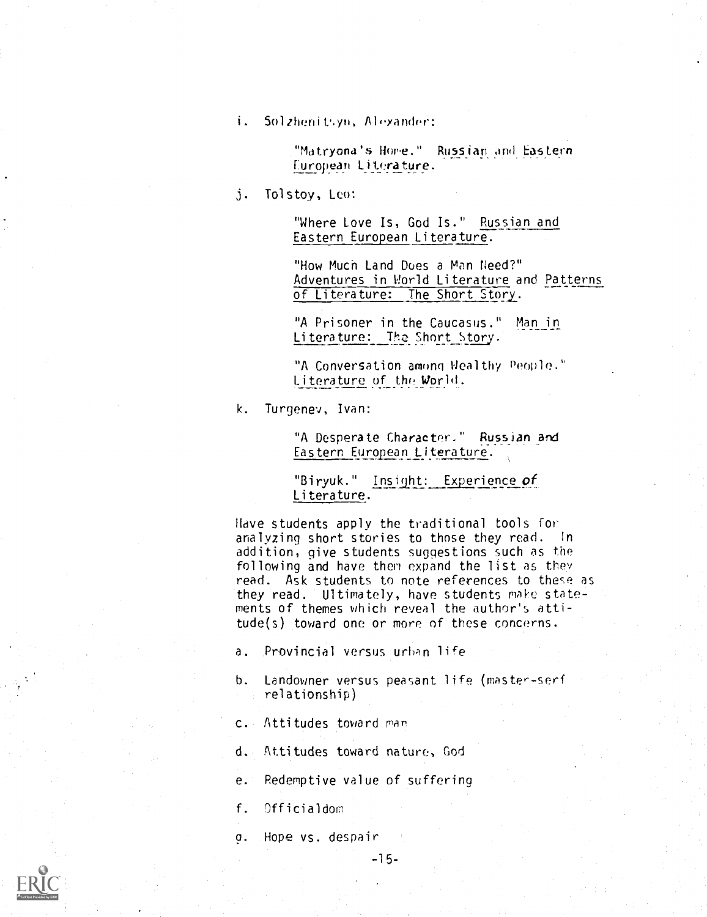i. Solzhenit%vn, Alexander:

"Mdtryana's Home." Russian\_ohd Eastern European Literature.

3 Tolstoy, Leo:

"Where Love Is, God Is." Russian and Eastern European Literature.

"How Much Land Does a Man Need?" Adventures in World Literature and Patterns of Literature: The Short Story.

"A Prisoner in the Caucasus." Man\_in Literature: The Short Story.

"A Conversation among Wealthy People. Literature of the World

k. Turgenev, Ivan:

"A Desperate Character." Russian and Eastern European Literature.

"Biryuk." Insight: Experience of Literature.

Have students apply the traditional tools for analyzing short stories to those they read. in addition, give students suggestions such as the following and have then expand the list as they read. Ask students to note references to these as they read. Ultimately, have students make statements of themes which reveal the author's attitude(s) toward one or more of these concerns.

- a. Provincial versus urban life
- b. Landowner versus peasant life (master-serf relationship)
- c. Attitudes toward man
- d. Attitudes toward nature, God
- e. Redemptive value of suffering
- f. Officialdom
- a. Hope vs. despair

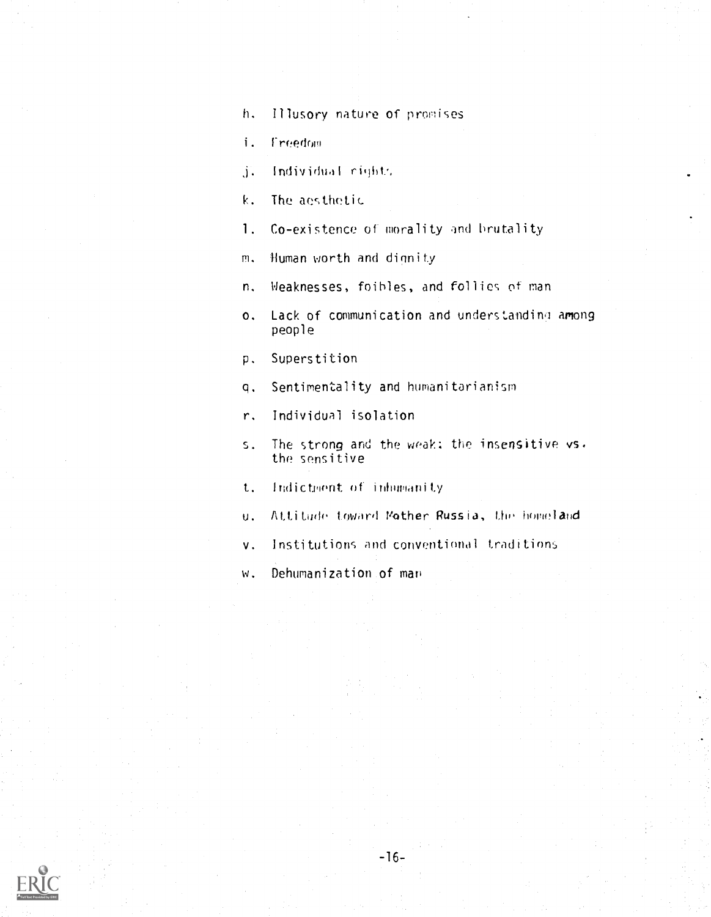h. Illusory nature of promises

**Freedom**  $\mathbf{i}$ .

j. Individual rights

k. The aesthetic

1. Co-existence of morality and brutality

m. Human worth and dignity

n. Weaknesses, foibles, and follies of man

o. Lack of communication and understanding among people

p. Superstition

q. Sentimentality and humanitarianism

r. Individual isolation

s. The strong and the weak; the insensitive vs. the sensitive

t. Indictment of inhumanity

- u. Attitude toward Mother Russia, the homeland
- v. Institutions and conventional traditions

w. Dehumanization of man

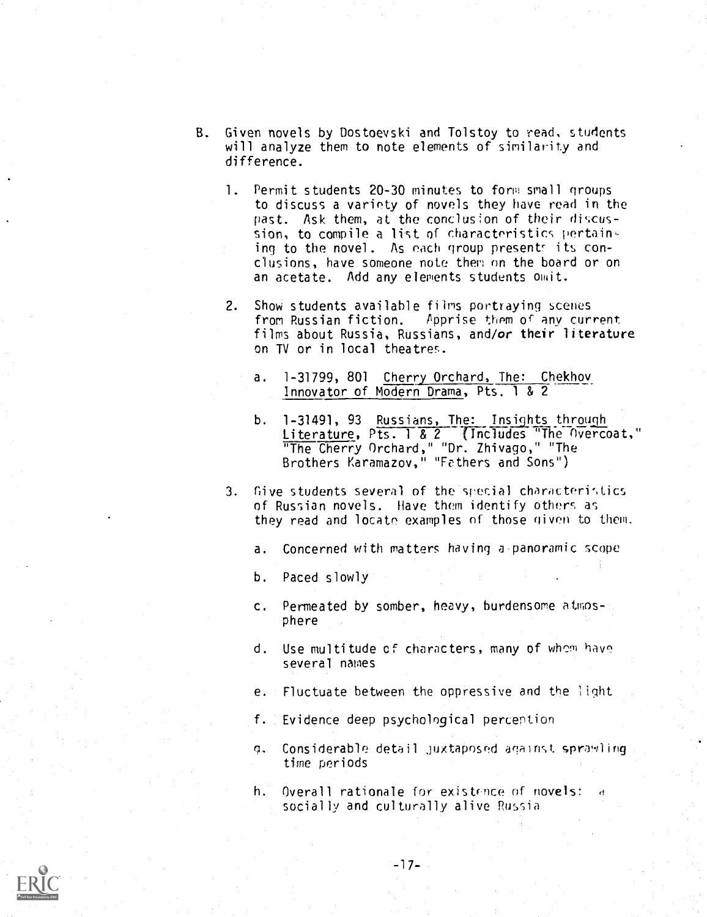- B. Given novels by Dostoevski and Tolstoy to read, students will analyze them to note elements of similarity and difference.
	- 1. Permit students 20-30 minutes to form small groups to discuss a variety of novels they have read in the past. Ask them, at the conclusion of their discussion, to compile a list of characteristics pertain $\sim$ ing to the novel. As each group presents its conclusions, have someone note them on the board or on an acetate. Add any elements students omit.
	- 2. Show students available films portraying scenes from Russian fiction. Apprise them of any current films about Russia, Russians, and/or their literature on TV or in local theatres.
		- a. 1-31799, 801 Cherry Orchard, The: Chekhov Innovator of Modern Drama, Pts. <sup>1</sup> & 2
		- b. 1-31491, 93 Russians, The: Insights through Literature, Pts. 1 & 2 (Includes "The Overcoat," "The Cherry Orchard," "Dr. Zhivago," "The Brothers Karamazov," "Fathers and Sons")
	- 3. Give students several of the special characteristics of Russian novels. Have them identify others as they read and locate examples of those given to them.
		- a. Concerned with matters having a-panoramic scope
		- b. Paced slowly
		- c. Permeated by somber, heavy, burdensome atmosphere
		- d. Use multitude of characters, many of whom hav^ several names
		- e. Fluctuate between the oppressive and the light
		- f. Evidence deep psychological perception
		- g. Considerable detail juxtaposed against sprawling time periods
		- h. Overall rationale for existence of novels: socially and culturally alive Russia

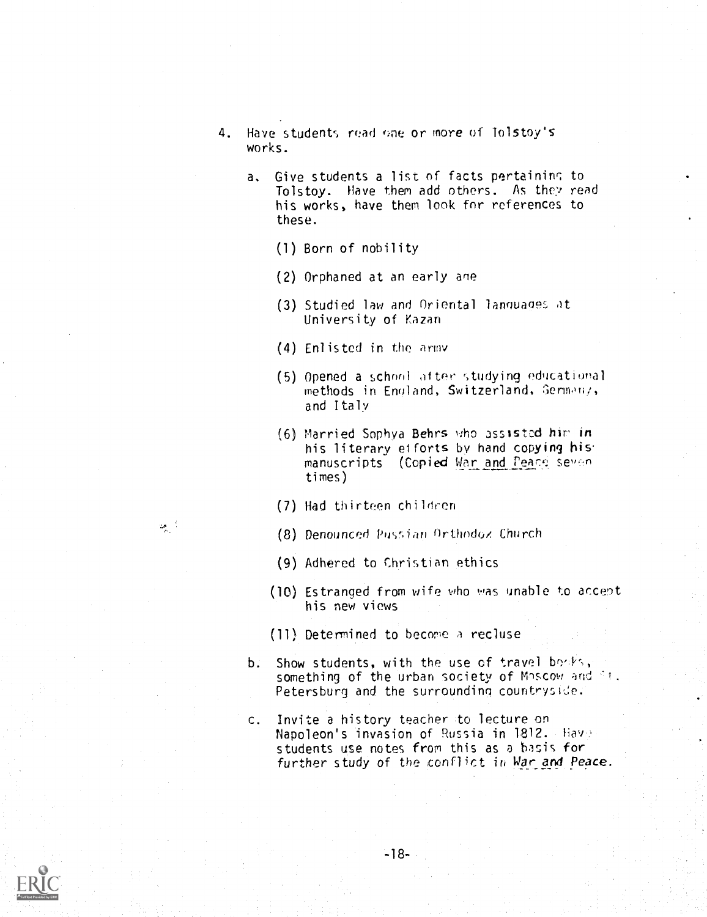- 4. Have students read one or more of Tolstoy's works.
	- a. Give students a list of facts pertaining to Tolstoy. Have them add others. As they read his works, have them look for references to these.
		- (1) Born of nobility
		- (2) Orphaned at an early ane
		- (3) Studied law and Oriental languages it University of Kazan
		- (4) Enlisted in the army
		- (5) Opened a school after studying educational methods in England, Switzerland, Germany, and Italy
		- $(6)$  Married Sophya Behrs who assisted him in his literary efforts by hand copying his manuscripts (Copied War and Peace seven times)
		- (7) Had thirteen children
		- (8) Denounced Pussian Orthodox Church
		- (9) Adhered to Christian ethics
		- (10) Estranged from wife who was unable to acce)t his new views
		- (11) Determined to become a recluse
	- b. Show students, with the use of travel beaks, something of the urban society of Moscow and Ft. Petersburg and the surrounding countryside.
	- c. Invite a history teacher to lecture on Napoleon's invasion of Russia in 1812. Hav students use notes from this as a basis for further study of the conflict in War and Peace.



್ಡ್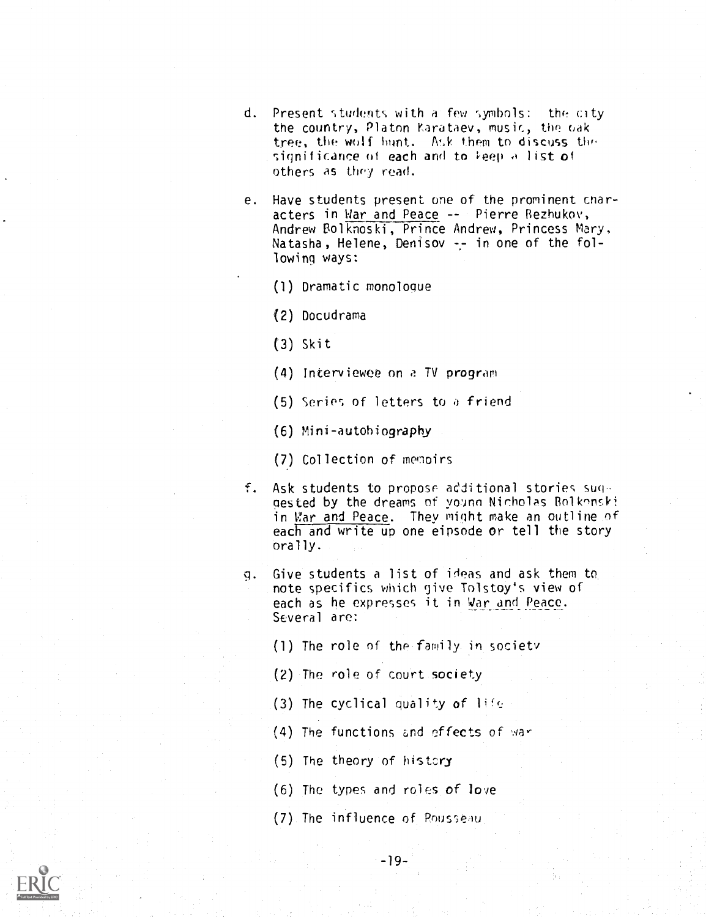- d. Present students with a few symbols: the city the country, Platon Farataev, music, the oak tree, the wolf hunt. Ask them to discuss the significance of each and to  $\text{keep } A$  list of others as they read.
- e. Have students present one of the prominent cnaracters in War and Peace -- Pierre Bezhukov, Andrew Bolknoski, Prince Andrew, Princess Mary. Natasha, Helene, Denisov -- in one of the following ways:
	- (1) Dramatic monologue
	- (2) Docudrama
	- (3) Skit
	- (4) interviewee on a TV program
	- (5) Serier, of letters to a friend

(6) Mini-autohiography

- (7) Collection of memoirs
- f. Ask students to propose additional stories sug gested by the dreams of young Nicholas Bolkonski in War and Peace. They might make an outline of each and write up one eipsode or tell the story orally.
- 9. Give students a list of ideas and ask them to note specifics which give Tolstoy's view of each as he expresses it in Var and Peace. Several are:
	- (1) The role of the family in society
	- (2) The role of court society
	- (3) The cyclical quality of life
	- (4) The functions and effects of war
	- (5) The theory of history
	- (6) The types and roles of love
	- (7) The influence of Rousseau

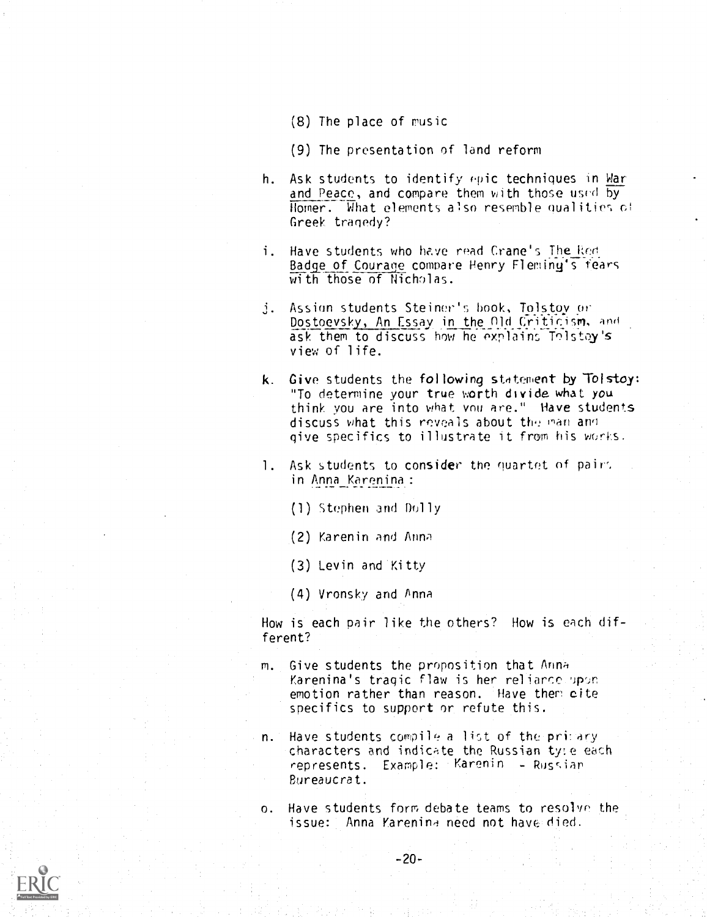- (8) The place of music
- (9) The presentation of land reform
- h. Ask students to identify epic techniques in War and Peace, and compare them with those used by Homer. What elements also resemble qualities of Greek tragedy?
- i. Have students who have read Crane's The Red. Badge of Courage compare Henry Fleminy's fears with those of Nicholas.
- j. Assign students Steiner's book, Tolstoy or Dostoevsky, An Essay in the Old Criticism, and ask them to discuss how he explains Tolstoy's view of life.
- k. Give students the following statement by Tolstoy: "To determine your true worth divide what you think you are into what vnu are." Have students discuss what this reveals about the man and give specifics to illustrate it from his works.
- 1. Ask students to consider the quartet of pairs in Anna Karenina:
	- (1) Stephen and Dolly
	- (2) Karenin and Anna
	- (3) Levin and 'Kitty
	- (4) Vronsky and Anna

How is each pair like the others? How is each different?

- m. Give students the proposition that Anna Karenina's tragic flaw is her reliarce upon emotion rather than reason. Have then cite specifics to support or refute this.
- n. Have students compile a list of the primary characters and indicate the Russian ty:e each represents. Example: Karenin - Russian Bureaucrat.
- o. Have students form debate teams to resolve the issue: Anna Karenina need not have died.

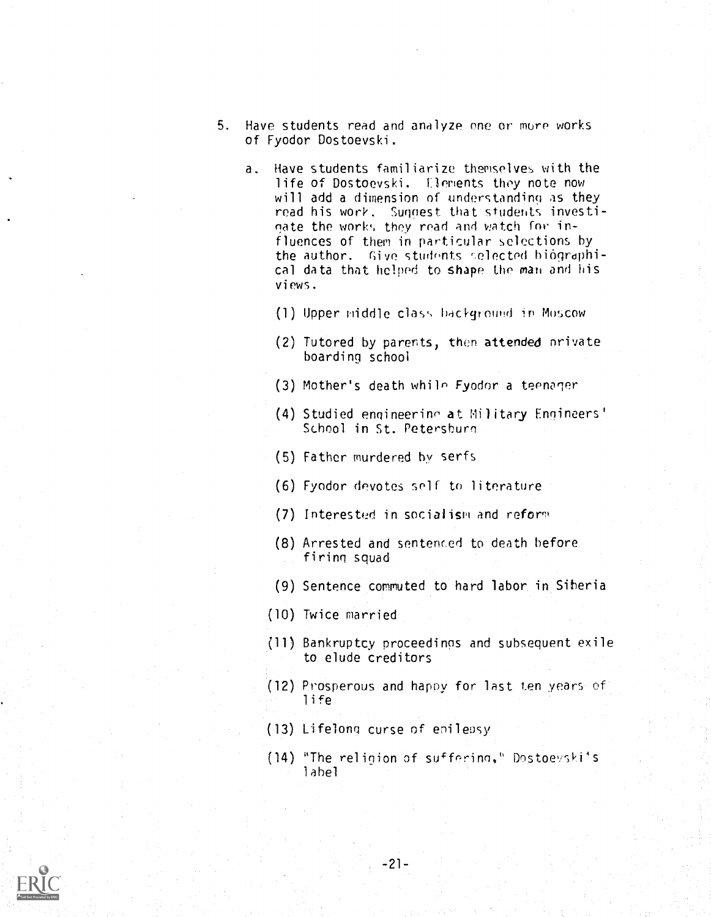- 5. Have students read and analyze one or more works of Fyodor Dostoevski.
	- a. Have students familiarize themselves with the life of Dostoevski. flements they note now will add a dimension of understanding as they read his work. Suggest that students investioate the work% they read and watch for influences of them in particular selections by the author. Give students selected biographical data that helped to shape the man and his views.
		- (1) Upper middle class background in Moscow
		- (2) Tutored by parents, then attended nrivate boarding school
		- (3) Mother's death while Fyodor a teenoqer
		- (4) Studied engineerinn at Military Engineers' School in St. Petersburg
		- (5) Father murdered by serfs
		- (6) Fyodor devotes self to literature
		- (7) Interested in socialism and reform
		- (8) Arrested and sentenced to death before firing squad
		- (9) Sentence commuted to hard labor. in Siberia
		- (10) Twice married
		- (11) Bankruptcy proceedings and subsequent exile to elude creditors
		- (12) Prosperous and happy for last ten years of life
		- (13) Lifelong curse of epilepsy
		- (14) "The religion of suffering," Dostoevski's label

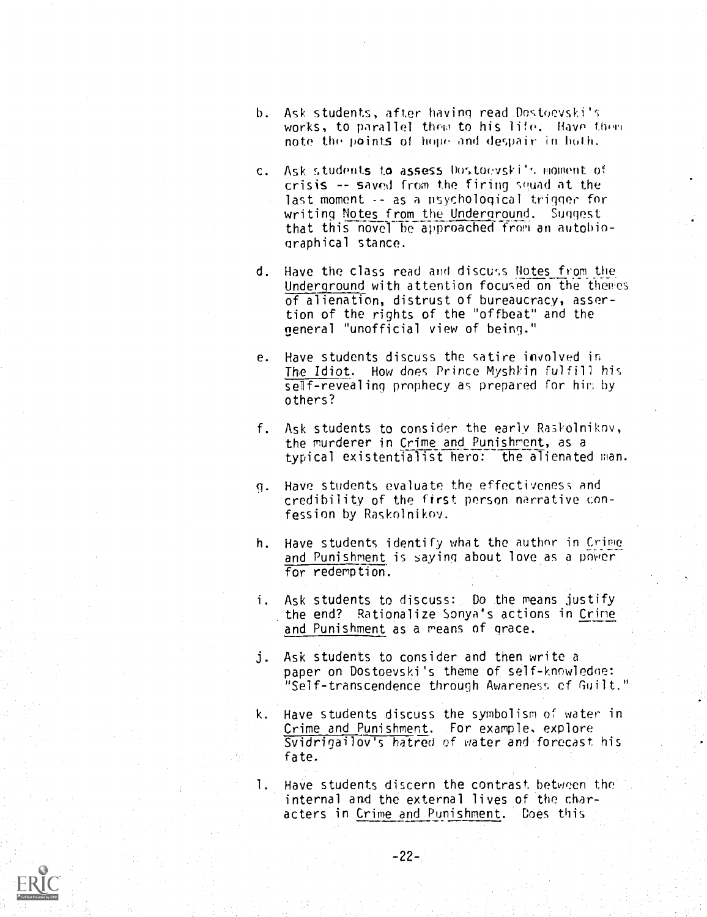- b. Ask students, after having read Dostoevski's works, to parallel them to his life. Have them note the points of hope and despair in both.
- c. Ask students to assess Dostoevski's moment of  $crisis$  -- saved from the firing squad at the last moment -- as a psychological trigger for writing Notes from the Underground. Suggest that this novel be approached from an autobiographical stance.
- d. Have the class read and discuss Notes from the Underground with attention focused on the themes of alienation, distrust of bureaucracy, assertion of the rights of the "offbeat" and the general "unofficial view of being."
- e. Have students discuss the satire involved in The Idiot. How does Prince Myshkin fulfill his self-revealing prophecy as prepared for him by others?
- f. Ask students to consider the early Raskolnikov, the murderer in Crime and Punishment, as a typical existentialist hero: the alienated man.
- q. Have students evaluate the effectiveness and credibility of the first person narrative confession by Raskolnikov.
- h. Have students identify what the author in Crime and Punishment is saying about love as a power for redemption.
- i. Ask students to discuss: Do the means justify the end? Rationalize Sonya's actions in Crime and Punishment as a means of grace.
- Ask students to consider and then write a  $\mathbf{i}$ . paper on Dostoevski's theme of self-knowledge: "Self-transcendence through Awareness cf Guilt."
- k. Have students discuss the symbolism of water in Crime and Punishment. For example. explore Svidrigailov's hatred of water and forecast his fate.
- 1. Have students discern the contrast between the internal and the external lives of the characters in Crime and Punishment. Does this

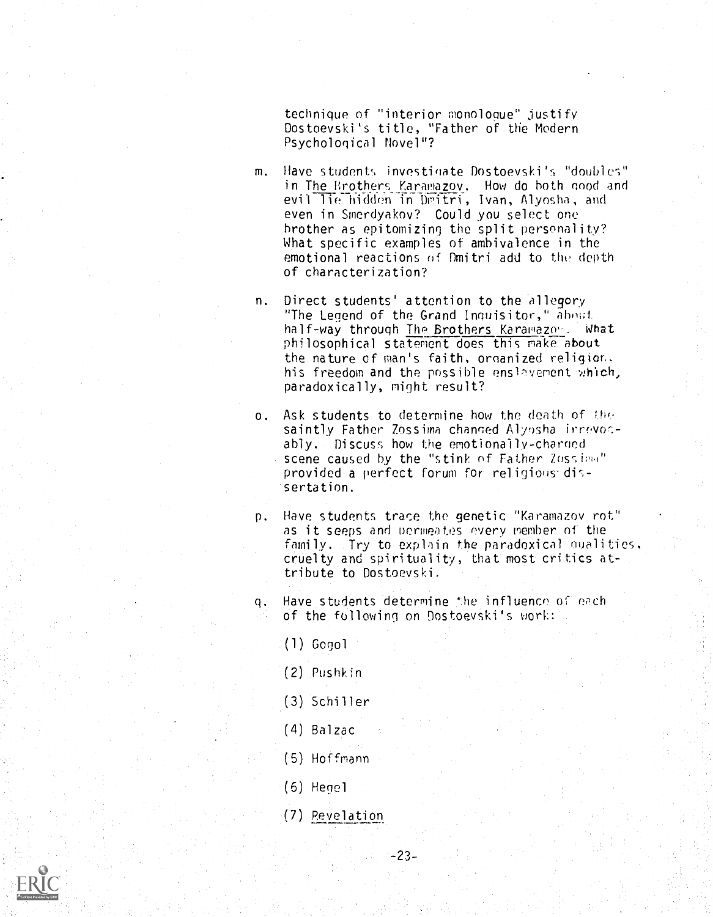technique of "interior monologue" justify Dostoevski's title, "Father of the Modern Psychological Novel"?

- m. Have students investigate Dostoevski's "doubles" in The Brothers Karamazov. How do both good and evil lie hidden in Dmitri, Ivan, Alyosha, and even in Smerdyakov? Could you select one brother as epitomizing the split personality? What specific examples of ambivalence in the emotional reactions of Dmitri add to the depth of characterization?
- n. Direct students' attention to the allegory "The Legend of the Grand Inquisitor," about half-way through The Brothers Karawazon. What philosophical statement does this make about the nature of man's faith, ornanized religior, his freedom and the possible enslavement which, paradoxically, might result?
- o. Ask students to determine how the death of the saintly Father Zossima changed Alyosha irrevocably. Discuss how the emotionally-charoed scene caused by the "stink of Father Zossipa" provided a perfect forum for religious-dis- 'sertation.
- p. Have students trace the genetic "Karamazov rot" as it seeps and permeates every member of the family. Try to explain the paradoxical qualities, cruelty and spirituality, that most critics attribute to Dostoevski.
- q. Have students determine the influence of each of the following on Dostoevski's work:
	- (1) Gogol
	- (2) Pushkin
	- (3) Schiller
	- (4) Balzac
	- (5) Hoffmann
	- $(6)$  Hegel
	- (7) Revelation

 $-23-$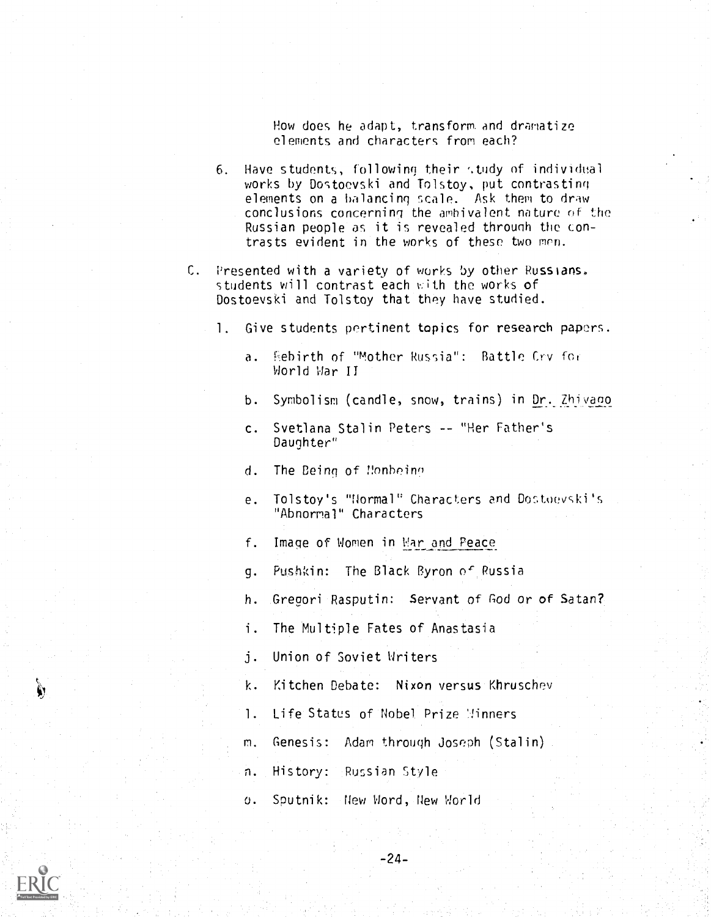How does he adapt, transform and dramatize elements and characters from each?

- 6. Have students, following their study of individual works by Dostoevski and Tolstoy, put contrasting elements on a balancing scale. Ask them to draw conclusions concerning the ambivalent nature of the Russian people as it is revealed through the contrasts evident in the works of these two men.
- C. Presented with a variety of works by other Russians, students will contrast each with the works of Dostoevski and Tolstoy that they have studied.
	- 1. Give students pertinent topics for research papers.
		- a. Rebirth of "Mother Russia": Battle Cry for World War II
		- b. Symbolism (candle, snow, trains) in Dr.\_7hjyano
		- c. Svetlana Stalin Peters -- "Her Father's Daughter"
		- d. The Being of Nonhoine
		- e. Tolstoy's "Normal" Characters and Dostoevski's "Abnormal" Characters
		- f. Image of Women in War and Peace
		- g. Pushkin: The Black Byron o' Russia
		- h. Gregori Rasputin: Servant of God or of Satan?
		- i. The Multiple Fates of Anastasia

j. Union of Soviet Writers

- k. Kitchen Debate: Nixon versus Khruschev
- 1. Life Status of Nobel Prize Winners
- m. Genesis: Adam through Joseph (Stalin)

-24-

- n. History: Russian Style
- o. Sputnik: New Word, New World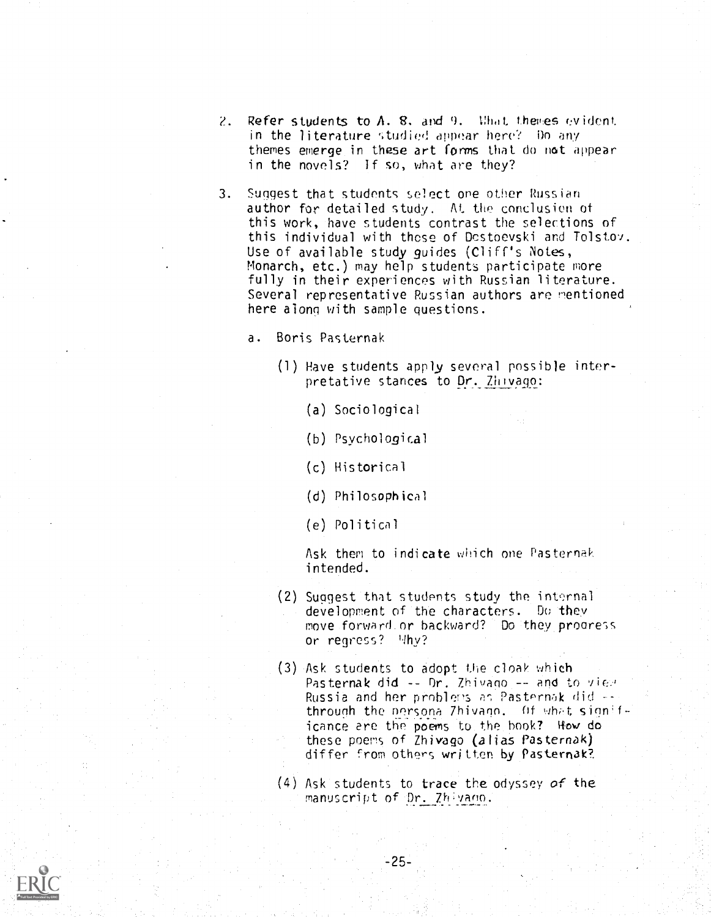- 2. Refer students to  $A$ ,  $B$ , and  $9$ . What themes evident. in the literature studied appear here? Do any themes emerge in these art forms that do not appear in the novels? If so, what are they?
- 3. Suggest that students select one other Russian author for detailed study. At the conclusion of this work, have students contrast the selections of this individual with those of Dostbevski and Tolstov. Use of available study guides (Cliff's Notes, Monarch, etc.) may help students participate more fully in their experiences with Russian literature. Several representative Russian authors are mentioned here along with sample questions.
	- a. Boris Pasternak
		- (1) Have students apply several possible interpretative stances to Dr. Zhivago:
			- (a) Sociological
			- (b) Psychological
			- (c) Historical
			- (d) Philosophical
			- (e) Political

Ask them to indicate which one Pasternak intended.

- (2) Suggest that students study the internal development of the characters. Do they move forward.or backward? Do they progress or regress? Why?
- Ask students to adopt the cloak which (3) Pasternak did -- Or. Zhivano -- and to view Russia and her problems as Pasternak did -through the nersona 7hivann. Of what significance are the poems to the book? How do these poems of Zhivago (alias Pasternak) differ from others written by Pasternak?
- (4) Ask students to trace the odyssey of the manuscript of Dr. Zhivano.

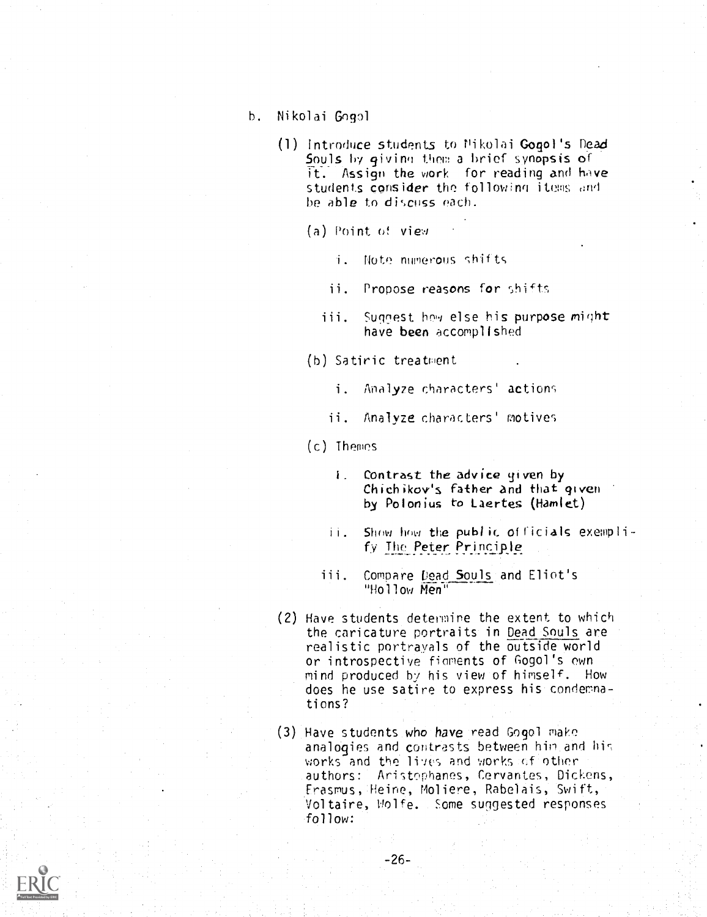- h. Nikolai Gogol
	- (1) Introduce students to Nikolai Gogol's Dead Souls by givino them a brief synopsis of it. Assign the work for reading and have students consider the following items and he able to discuss each.
		- (a) Point of view
			- . Note numerous shifts
			- ii. Propose reasons for shifts
			- Suggest how else his purpose might  $iii.$ have been accomplished
		- (h) Satiric treatment
			- i. Analyze characters' actions
			- ii. Analyze characters' motives
		- (c) Themes
			- $i$ . Contrast the advice given by Chichikov's father and that given by Polonius to Laertes (Hamlet)
			- ii. Show how the public officials exemplify The Peter Principle
			- iii. Compare Dead Souls and Eliot's "Hollow Men"
	- (2) Have students determine the extent to which the caricature portraits in Dead Souls are realistic portrayals of the outside world or introspective fioments of Gogol's own mind produced by his view of himself. How does he use satire to express his condemnations?
	- (3) Have students who have read Gogol make analogies and contrasts between him and his works and the lives and works of other authors: Aristophanes, Cervantes, Dickens, Erasmus, Heine, Moliere, Rabelais, Swift, Voltaire, Wolfe. some suggested responses follow:

-26-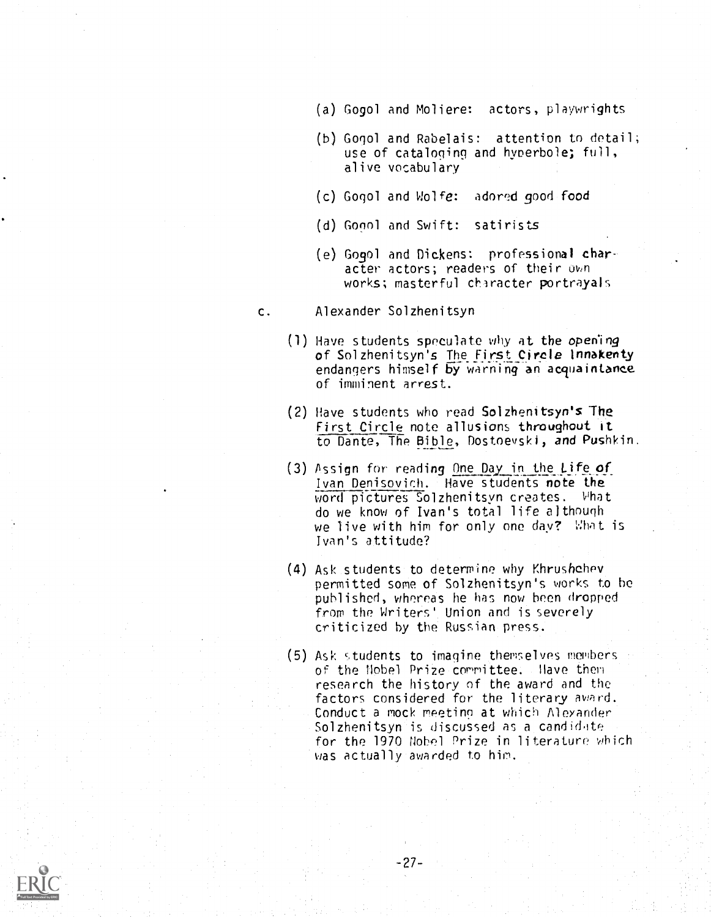- (a) Gogol and Moliere: actors, playwrights
- (b) Gogol and Rabelais: attention to detail; use of cataloging and hyperbole; full, alive vocabulary
- (c) Gogol and Wolfe: adored good food
- (d) Gogol and Swift: satirists
- (e) Gogol and Dickens: professional character actors; readers of their own works; masterful character portrayals
- c. Alexander Solzhenitsyn
	- (1) Have students speculate why at the opening of Solzhenitsyn's The First Circle Innakenty endangers himself by warning an acquaintance of imminent arrest.
	- (2) Have students who read Solzhenitsyn's The First Circle note allusions throughout it to Dante, The Bible, Dostoevski, and Pushkin.
	- $(3)$  Assign for reading One Day in the Life of Ivan Denisovich. Have students note the word pictures Solzhenitsyn creates. What do we know of Ivan's total life although we live with him for only one day? What is Ivan's attitude?
	- (4) Ask students to determine why Khrushchev permitted some of Solzhenitsyn's works to be published, whereas he has now been dropped from the Writers' Union and is severely criticized by the Russian press.
	- (5) Ask students to imagine themselves members of the Nobel Prize committee. Have then research the history of the award and the factors considered for the literary award. Conduct a mock meeting at which Alexander Solzhenitsyn is discussed as a candidate for the 1970 Nobel Prize in literature which was actually awarded to him.

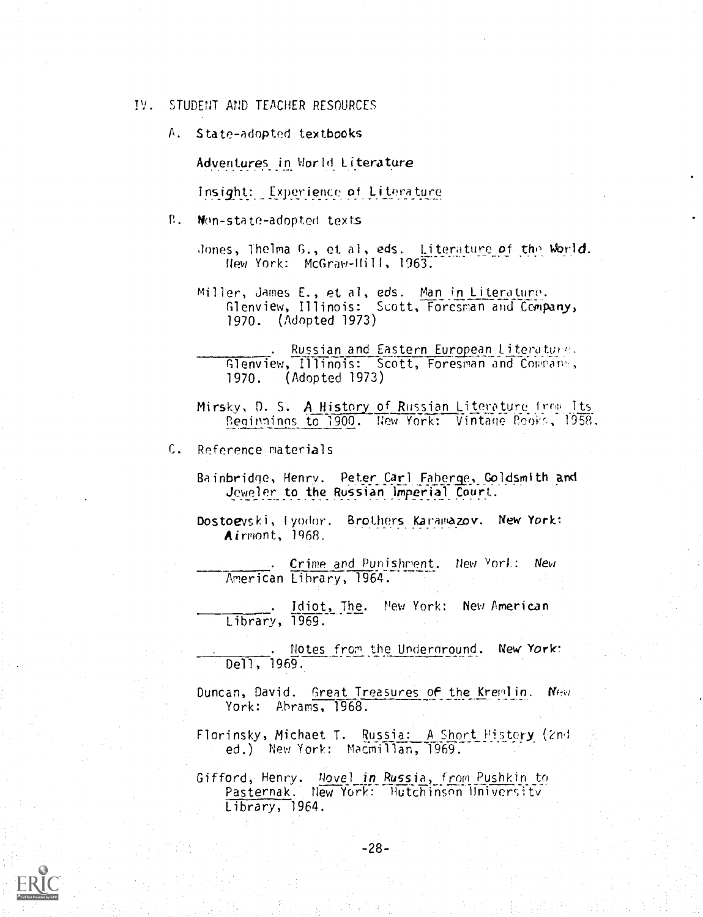IV. STUDENT AND TEACHER RESOURCES

A. State-adopted textbooks

Adventures in World Literature

Insight: Experience of Literature

P. Non-state-adopted texts

Jones, Thelma G., et al, eds. Literature of the World. New York: McGraw-Hill, 1963.

Miller, James E., et al, eds. Man in Literature. Glenview, Illinois: Scott, Foresran and Company, 1970. (Adopted 1973)

. Russian and Eastern European Literature.  $\blacksquare$ Glenview, Illinois: Scott, Foresman and COrran',1 1970. (Adopted 1973)

Mirsky, D. S. A History of Russian Literature Its Beginnings to 1900. New York: Vintage Rooks, 1958.

C. Reference materials

- Bainbridge, Henry. Peter Carl Faberge, Goldsmith and Jeweler to the Russian Imperial Court.
- Dostoevski, Iyodor. Brothers Karamazov. New York: Airmont, 1968.

Crime and Punishment. flew vont: New American Lihrary, 1964.

Idiot, The. New York: New American Library, 1969.

Notes from the Undernround. New York: Dell, 1969.

Duncan, David. Great Treasures of the Kremlin. New York: Abrams, 1968.

Florinsky, Michaet T. Russia: A Short History (2nd ed.) New York: Macmillan, 1969.

Gifford, Henry. Novel in Russia, from Pushkin to Pasternak. New York: Hutchinson University Library, 1964.

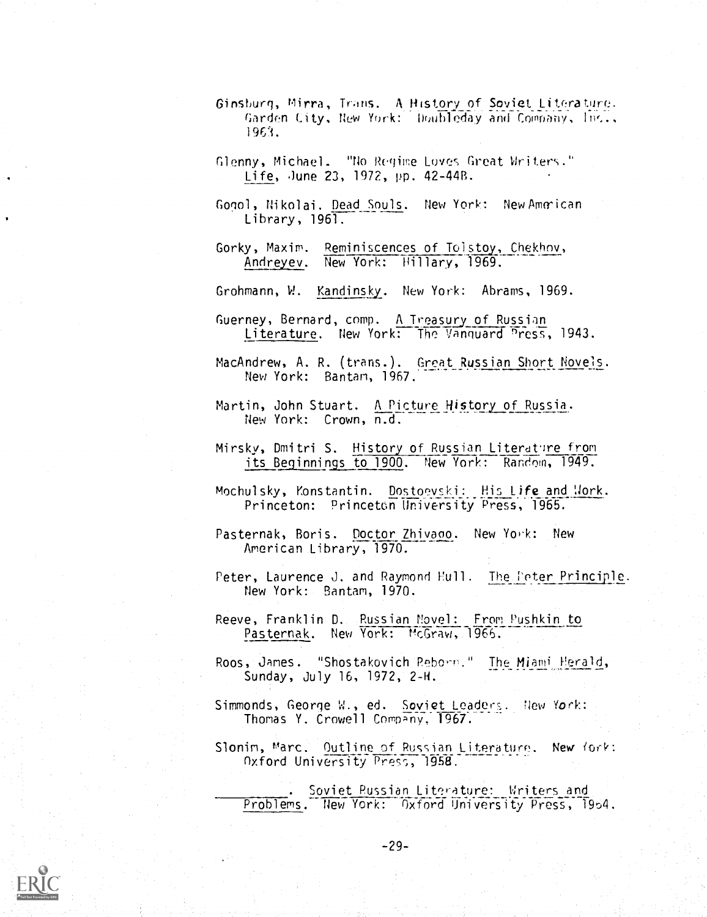- Ginshurg, Mirra, Trans. A History of Soviet\_ Literature. Garden City, New York: Noubleday and Company, Inc., 1963.
- Glenny, Michael. "No Regime Loves Great Writers. Life, June 23, 1972, pp. 42-44B.
- Gogol, Nikolai. Dead Souls. New York: New American Library, 1961.
- Gorky, Maxim. Reminiscences of Toistoy,\_Chekhov, Andreyev. New York: Hillary, 1969.
- Grohmann, W. Kandinsky.. New York: Abrams, 1969.
- Guerney, Bernard, comp. A Treasury of Russian Literature. New York: The Vanguard Press, 1943.
- MacAndrew, A. R. (trans.). Great Russian Short Novels. New York: Bantam, 1967.
- Martin, John Stuart. A Picture History of Russia. New York: Crown, n.d.
- Mirsky, Dmitri S. History of Russian Literature from its Beginnings to 1900. New York: Random, 1949.
- Mochulsky, Konstantin. Dostoevski: His Life and Mork. Princeton: Princeton University Press, 1965.
- Pasternak, Boris. Doctor Zhivaoo. New York: New American Library, 1970.
- Peter, Laurence J. and Raymond Hull. The Peter Principle. New York: Bantam, 1970.
- Reeve, Franklin D. Russian Novel: From Pushkin to Pasternak. New York: McGraw, 1966.
- Roos, James. "Shostakovich Reborn." The Miami Herald, Sunday, July 16, 1972, 2-H.
- Simmonds, George W., ed. Soviet Leaders. New York: Thomas Y. Crowell Company, 1967.
- Slonim, Marc. Outline of Russian Literature. New York: Oxford University Press, 1958.

Soviet Russian Literature: Writers and Problems. New York: Oxford University Press, 1954.

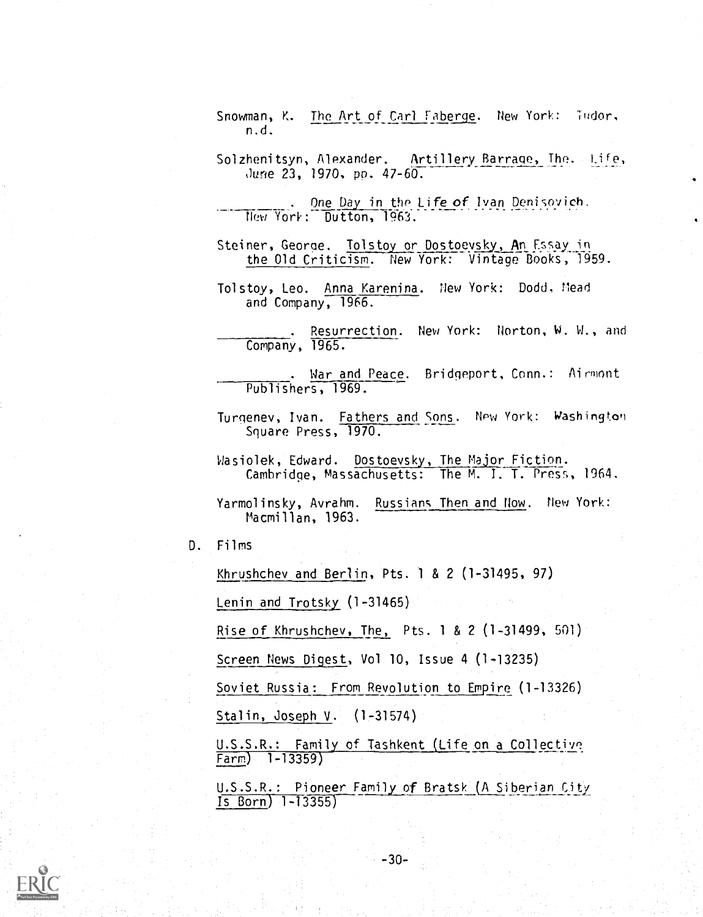Snowman, K. The Art of Carl Faberge. New York: Tudor, n.d.

Solzhenitsyn, Alexander. Artillery Barrage, The. Life, June 23, 1970, pp. 47-60.

. One Day in tho Life of Ivan Denisovich. New York: Dutton, 1963.

Steiner, George. Tolstoy or Dostoeysky, An Essay in the Old Criticism. New York: Vintage Books, 1959.

Tolstoy, Leo. Anna Karenina. New York: Dodd, Mead and Company, 1966.

. Resurrection. New York: Norton, W. W., and Company, 1965.

. War and Peace. Bridgeport, Conn.: Airmont Publishers, 1969.

Turgenev, Ivan. Fathers and Sons. New York: Washington Square Press, 1970.

Wasiolek, Edward. Dostoevsky, The Major Fiction. Cambridge, Massachusetts: The M. I. T. Press, 1964.

Yarmolinsky, Avrahm. Russians Then and Now. flew York: Macmillan, 1963.

D. Films

Khrushchev and Berlin, Pts. <sup>1</sup> & 2 (1-31495, 97)

Lenin and Trotsky. (1-31465)

Rise of Khrushchev, The, Pts. <sup>1</sup> & 2 (1-31499, 501)

Screen News Digest, Vol 10, Issue 4 (1-13235)

Soviet Russia: From Revolution to Empire (1-13326)

Stalin, Joseph V. (1-31574)

U.S.S.R: Family of Tashkent (Life on a Collective Farm) 1-13359)

U.S.S.R.: Pioneer Family of Bratsk (A Siberian City Is Born) 1-13355)